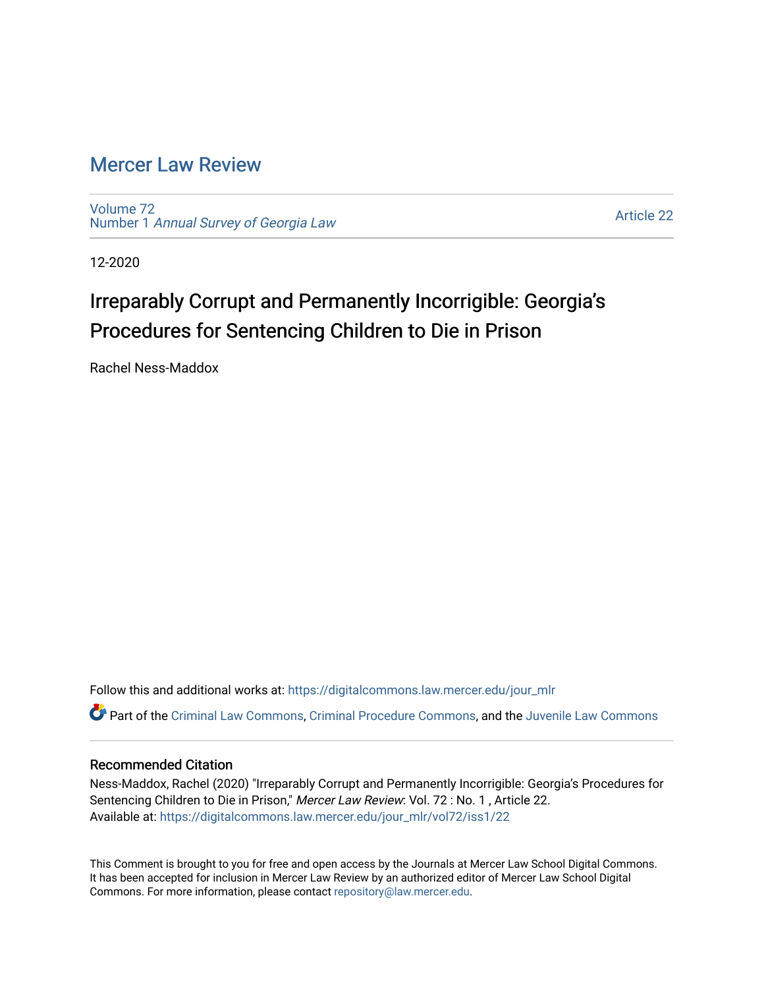# [Mercer Law Review](https://digitalcommons.law.mercer.edu/jour_mlr)

[Volume 72](https://digitalcommons.law.mercer.edu/jour_mlr/vol72) Number 1 [Annual Survey of Georgia Law](https://digitalcommons.law.mercer.edu/jour_mlr/vol72/iss1) 

[Article 22](https://digitalcommons.law.mercer.edu/jour_mlr/vol72/iss1/22) 

12-2020

# Irreparably Corrupt and Permanently Incorrigible: Georgia's Procedures for Sentencing Children to Die in Prison

Rachel Ness-Maddox

Follow this and additional works at: [https://digitalcommons.law.mercer.edu/jour\\_mlr](https://digitalcommons.law.mercer.edu/jour_mlr?utm_source=digitalcommons.law.mercer.edu%2Fjour_mlr%2Fvol72%2Fiss1%2F22&utm_medium=PDF&utm_campaign=PDFCoverPages)

Part of the [Criminal Law Commons,](http://network.bepress.com/hgg/discipline/912?utm_source=digitalcommons.law.mercer.edu%2Fjour_mlr%2Fvol72%2Fiss1%2F22&utm_medium=PDF&utm_campaign=PDFCoverPages) [Criminal Procedure Commons,](http://network.bepress.com/hgg/discipline/1073?utm_source=digitalcommons.law.mercer.edu%2Fjour_mlr%2Fvol72%2Fiss1%2F22&utm_medium=PDF&utm_campaign=PDFCoverPages) and the [Juvenile Law Commons](http://network.bepress.com/hgg/discipline/851?utm_source=digitalcommons.law.mercer.edu%2Fjour_mlr%2Fvol72%2Fiss1%2F22&utm_medium=PDF&utm_campaign=PDFCoverPages) 

# Recommended Citation

Ness-Maddox, Rachel (2020) "Irreparably Corrupt and Permanently Incorrigible: Georgia's Procedures for Sentencing Children to Die in Prison," Mercer Law Review: Vol. 72 : No. 1 , Article 22. Available at: [https://digitalcommons.law.mercer.edu/jour\\_mlr/vol72/iss1/22](https://digitalcommons.law.mercer.edu/jour_mlr/vol72/iss1/22?utm_source=digitalcommons.law.mercer.edu%2Fjour_mlr%2Fvol72%2Fiss1%2F22&utm_medium=PDF&utm_campaign=PDFCoverPages) 

This Comment is brought to you for free and open access by the Journals at Mercer Law School Digital Commons. It has been accepted for inclusion in Mercer Law Review by an authorized editor of Mercer Law School Digital Commons. For more information, please contact [repository@law.mercer.edu.](mailto:repository@law.mercer.edu)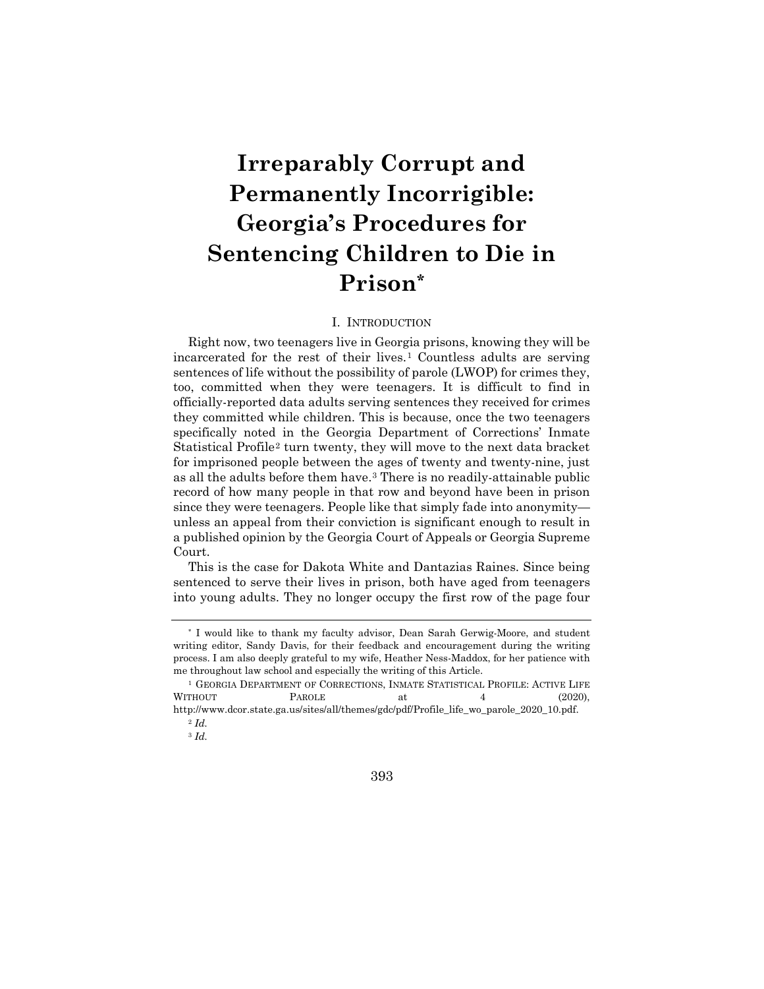# **Irreparably Corrupt and Permanently Incorrigible: Georgia's Procedures for Sentencing Children to Die in Prison[\\*](#page-1-0)**

# I. INTRODUCTION

Right now, two teenagers live in Georgia prisons, knowing they will be incarcerated for the rest of their lives.[1](#page-1-1) Countless adults are serving sentences of life without the possibility of parole (LWOP) for crimes they, too, committed when they were teenagers. It is difficult to find in officially-reported data adults serving sentences they received for crimes they committed while children. This is because, once the two teenagers specifically noted in the Georgia Department of Corrections' Inmate Statistical Profile[2](#page-1-2) turn twenty, they will move to the next data bracket for imprisoned people between the ages of twenty and twenty-nine, just as all the adults before them have.[3](#page-1-3) There is no readily-attainable public record of how many people in that row and beyond have been in prison since they were teenagers. People like that simply fade into anonymity unless an appeal from their conviction is significant enough to result in a published opinion by the Georgia Court of Appeals or Georgia Supreme Court.

This is the case for Dakota White and Dantazias Raines. Since being sentenced to serve their lives in prison, both have aged from teenagers into young adults. They no longer occupy the first row of the page four

393

<span id="page-1-0"></span><sup>\*</sup> I would like to thank my faculty advisor, Dean Sarah Gerwig-Moore, and student writing editor, Sandy Davis, for their feedback and encouragement during the writing process. I am also deeply grateful to my wife, Heather Ness-Maddox, for her patience with me throughout law school and especially the writing of this Article.

<span id="page-1-3"></span><span id="page-1-2"></span><span id="page-1-1"></span><sup>1</sup> GEORGIA DEPARTMENT OF CORRECTIONS, INMATE STATISTICAL PROFILE: ACTIVE LIFE WITHOUT PAROLE at 4 (2020), http://www.dcor.state.ga.us/sites/all/themes/gdc/pdf/Profile\_life\_wo\_parole\_2020\_10.pdf.

<sup>2</sup> *Id.*

<sup>3</sup> *Id.*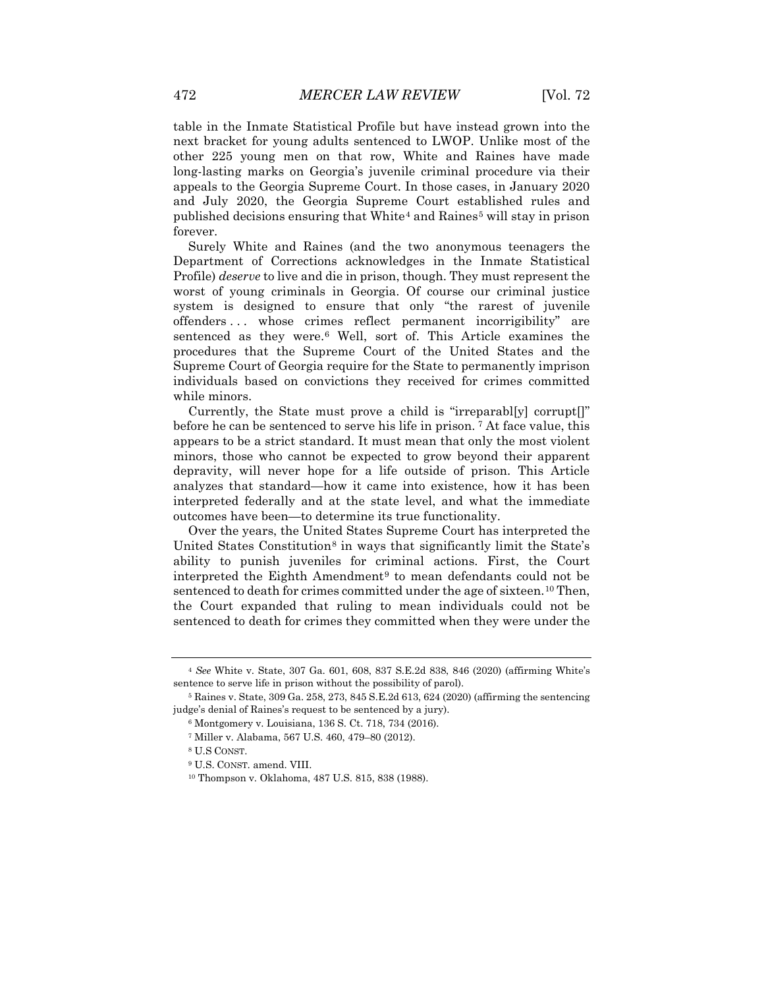table in the Inmate Statistical Profile but have instead grown into the next bracket for young adults sentenced to LWOP. Unlike most of the other 225 young men on that row, White and Raines have made long-lasting marks on Georgia's juvenile criminal procedure via their appeals to the Georgia Supreme Court. In those cases, in January 2020 and July 2020, the Georgia Supreme Court established rules and published decisions ensuring that White[4](#page-2-0) and Raines[5](#page-2-1) will stay in prison forever.

Surely White and Raines (and the two anonymous teenagers the Department of Corrections acknowledges in the Inmate Statistical Profile) *deserve* to live and die in prison, though. They must represent the worst of young criminals in Georgia. Of course our criminal justice system is designed to ensure that only "the rarest of juvenile offenders . . . whose crimes reflect permanent incorrigibility" are sentenced as they were.[6](#page-2-2) Well, sort of. This Article examines the procedures that the Supreme Court of the United States and the Supreme Court of Georgia require for the State to permanently imprison individuals based on convictions they received for crimes committed while minors.

Currently, the State must prove a child is "irreparabl[y] corrupt[]" before he can be sentenced to serve his life in prison. [7](#page-2-3) At face value, this appears to be a strict standard. It must mean that only the most violent minors, those who cannot be expected to grow beyond their apparent depravity, will never hope for a life outside of prison. This Article analyzes that standard—how it came into existence, how it has been interpreted federally and at the state level, and what the immediate outcomes have been—to determine its true functionality.

Over the years, the United States Supreme Court has interpreted the United States Constitution<sup>[8](#page-2-4)</sup> in ways that significantly limit the State's ability to punish juveniles for criminal actions. First, the Court interpreted the Eighth Amendment<sup>[9](#page-2-5)</sup> to mean defendants could not be sentenced to death for crimes committed under the age of sixteen.<sup>[10](#page-2-6)</sup> Then, the Court expanded that ruling to mean individuals could not be sentenced to death for crimes they committed when they were under the

<span id="page-2-0"></span><sup>4</sup> *See* White v. State, 307 Ga. 601, 608, 837 S.E.2d 838, 846 (2020) (affirming White's sentence to serve life in prison without the possibility of parol).

<span id="page-2-5"></span><span id="page-2-4"></span><span id="page-2-3"></span><span id="page-2-2"></span><span id="page-2-1"></span><sup>5</sup> Raines v. State, 309 Ga. 258, 273, 845 S.E.2d 613, 624 (2020) (affirming the sentencing judge's denial of Raines's request to be sentenced by a jury).

<sup>6</sup> Montgomery v. Louisiana, 136 S. Ct. 718, 734 (2016).

<sup>7</sup> Miller v. Alabama, 567 U.S. 460, 479–80 (2012).

<sup>8</sup> U.S CONST.

<span id="page-2-6"></span><sup>9</sup> U.S. CONST. amend. VIII.

<sup>10</sup> Thompson v. Oklahoma, 487 U.S. 815, 838 (1988).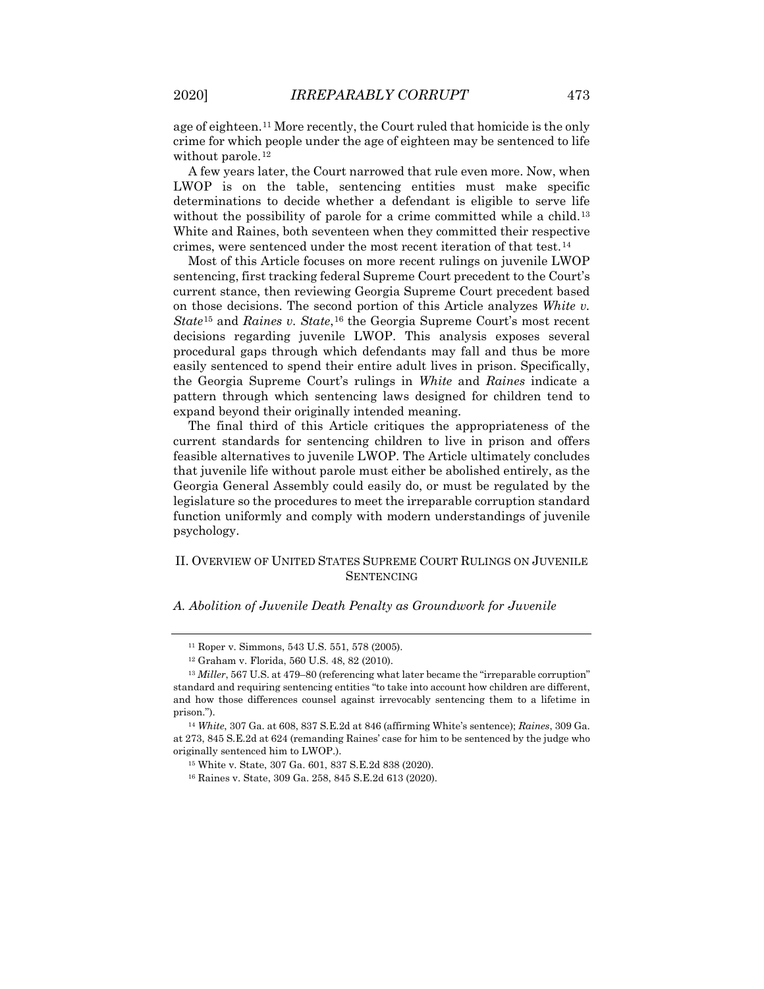age of eighteen[.11](#page-3-0) More recently, the Court ruled that homicide is the only crime for which people under the age of eighteen may be sentenced to life without parole.<sup>[12](#page-3-1)</sup>

A few years later, the Court narrowed that rule even more. Now, when LWOP is on the table, sentencing entities must make specific determinations to decide whether a defendant is eligible to serve life without the possibility of parole for a crime committed while a child.<sup>[13](#page-3-2)</sup> White and Raines, both seventeen when they committed their respective crimes, were sentenced under the most recent iteration of that test.[14](#page-3-3)

Most of this Article focuses on more recent rulings on juvenile LWOP sentencing, first tracking federal Supreme Court precedent to the Court's current stance, then reviewing Georgia Supreme Court precedent based on those decisions. The second portion of this Article analyzes *White v. State*<sup>[15](#page-3-4)</sup> and *Raines v. State*,<sup>[16](#page-3-5)</sup> the Georgia Supreme Court's most recent decisions regarding juvenile LWOP. This analysis exposes several procedural gaps through which defendants may fall and thus be more easily sentenced to spend their entire adult lives in prison. Specifically, the Georgia Supreme Court's rulings in *White* and *Raines* indicate a pattern through which sentencing laws designed for children tend to expand beyond their originally intended meaning.

The final third of this Article critiques the appropriateness of the current standards for sentencing children to live in prison and offers feasible alternatives to juvenile LWOP. The Article ultimately concludes that juvenile life without parole must either be abolished entirely, as the Georgia General Assembly could easily do, or must be regulated by the legislature so the procedures to meet the irreparable corruption standard function uniformly and comply with modern understandings of juvenile psychology.

# II. OVERVIEW OF UNITED STATES SUPREME COURT RULINGS ON JUVENILE **SENTENCING**

#### *A. Abolition of Juvenile Death Penalty as Groundwork for Juvenile*

<sup>11</sup> Roper v. Simmons, 543 U.S. 551, 578 (2005).

<sup>12</sup> Graham v. Florida, 560 U.S. 48, 82 (2010).

<span id="page-3-2"></span><span id="page-3-1"></span><span id="page-3-0"></span><sup>&</sup>lt;sup>13</sup> *Miller*, 567 U.S. at 479–80 (referencing what later became the "irreparable corruption" standard and requiring sentencing entities "to take into account how children are different, and how those differences counsel against irrevocably sentencing them to a lifetime in prison.").

<span id="page-3-5"></span><span id="page-3-4"></span><span id="page-3-3"></span><sup>14</sup> *White*, 307 Ga. at 608, 837 S.E.2d at 846 (affirming White's sentence); *Raines*, 309 Ga. at 273, 845 S.E.2d at 624 (remanding Raines' case for him to be sentenced by the judge who originally sentenced him to LWOP.).

<sup>15</sup> White v. State, 307 Ga. 601, 837 S.E.2d 838 (2020).

<sup>16</sup> Raines v. State, 309 Ga. 258, 845 S.E.2d 613 (2020).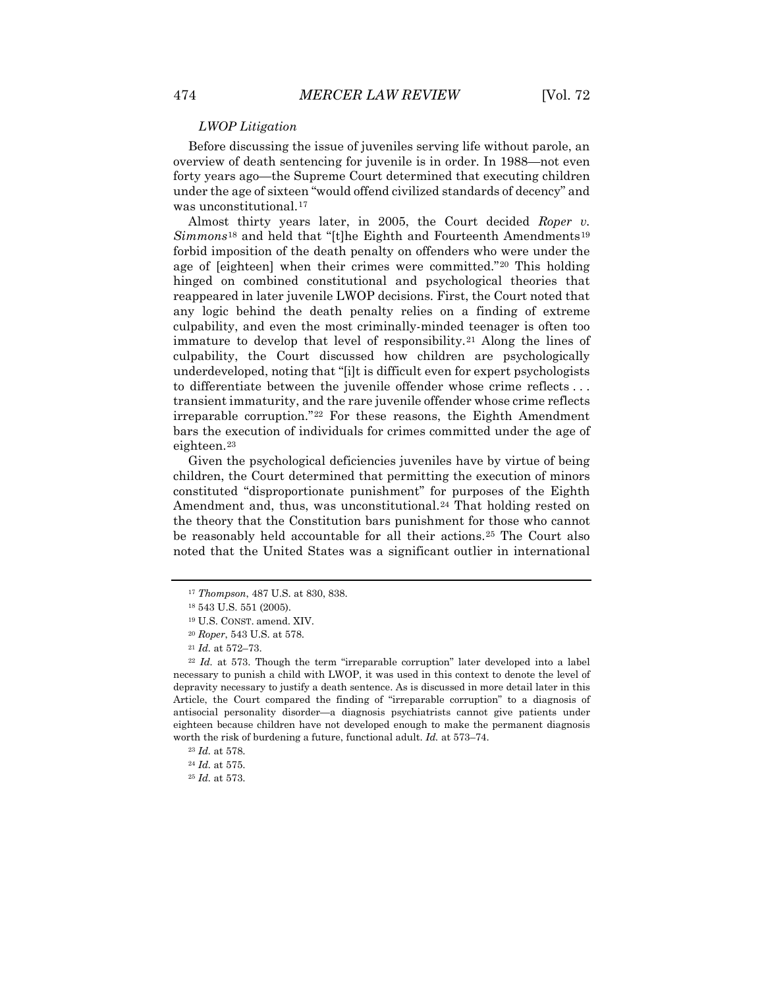#### *LWOP Litigation*

Before discussing the issue of juveniles serving life without parole, an overview of death sentencing for juvenile is in order. In 1988—not even forty years ago—the Supreme Court determined that executing children under the age of sixteen "would offend civilized standards of decency" and was unconstitutional.<sup>[17](#page-4-0)</sup>

Almost thirty years later, in 2005, the Court decided *Roper v. Simmons*<sup>[18](#page-4-1)</sup> and held that "[t]he Eighth and Fourteenth Amendments<sup>[19](#page-4-2)</sup> forbid imposition of the death penalty on offenders who were under the age of [eighteen] when their crimes were committed."[20](#page-4-3) This holding hinged on combined constitutional and psychological theories that reappeared in later juvenile LWOP decisions. First, the Court noted that any logic behind the death penalty relies on a finding of extreme culpability, and even the most criminally-minded teenager is often too immature to develop that level of responsibility.[21](#page-4-4) Along the lines of culpability, the Court discussed how children are psychologically underdeveloped, noting that "[i]t is difficult even for expert psychologists to differentiate between the juvenile offender whose crime reflects . . . transient immaturity, and the rare juvenile offender whose crime reflects irreparable corruption."[22](#page-4-5) For these reasons, the Eighth Amendment bars the execution of individuals for crimes committed under the age of eighteen.<sup>[23](#page-4-6)</sup>

Given the psychological deficiencies juveniles have by virtue of being children, the Court determined that permitting the execution of minors constituted "disproportionate punishment" for purposes of the Eighth Amendment and, thus, was unconstitutional.<sup>[24](#page-4-7)</sup> That holding rested on the theory that the Constitution bars punishment for those who cannot be reasonably held accountable for all their actions.[25](#page-4-8) The Court also noted that the United States was a significant outlier in international

<sup>17</sup> *Thompson*, 487 U.S. at 830, 838.

<sup>18</sup> 543 U.S. 551 (2005).

<sup>19</sup> U.S. CONST. amend. XIV.

<sup>20</sup> *Roper*, 543 U.S. at 578.

<sup>21</sup> *Id.* at 572–73.

<span id="page-4-5"></span><span id="page-4-4"></span><span id="page-4-3"></span><span id="page-4-2"></span><span id="page-4-1"></span><span id="page-4-0"></span><sup>22</sup> *Id.* at 573. Though the term "irreparable corruption" later developed into a label necessary to punish a child with LWOP, it was used in this context to denote the level of depravity necessary to justify a death sentence. As is discussed in more detail later in this Article, the Court compared the finding of "irreparable corruption" to a diagnosis of antisocial personality disorder—a diagnosis psychiatrists cannot give patients under eighteen because children have not developed enough to make the permanent diagnosis worth the risk of burdening a future, functional adult. *Id.* at 573–74.

<span id="page-4-6"></span><sup>23</sup> *Id.* at 578.

<span id="page-4-8"></span><span id="page-4-7"></span><sup>24</sup> *Id.* at 575.

<sup>25</sup> *Id.* at 573.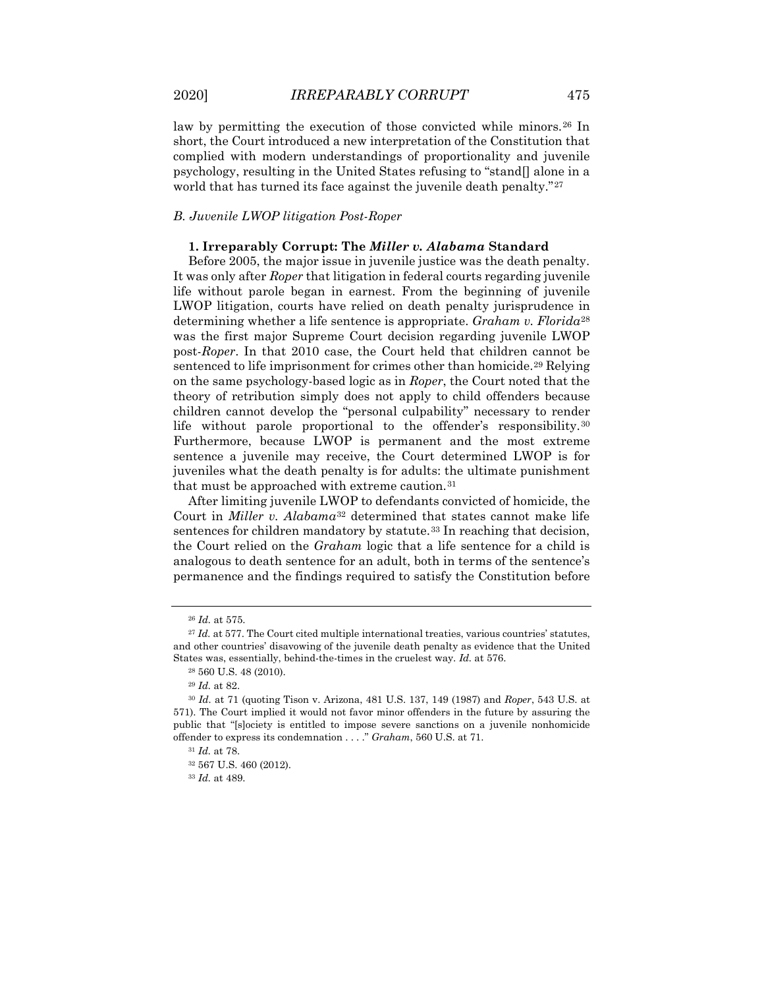law by permitting the execution of those convicted while minors.[26](#page-5-0) In short, the Court introduced a new interpretation of the Constitution that complied with modern understandings of proportionality and juvenile psychology, resulting in the United States refusing to "stand[] alone in a world that has turned its face against the juvenile death penalty."<sup>[27](#page-5-1)</sup>

#### *B. Juvenile LWOP litigation Post-Roper*

### **1. Irreparably Corrupt: The** *Miller v. Alabama* **Standard**

Before 2005, the major issue in juvenile justice was the death penalty. It was only after *Roper* that litigation in federal courts regarding juvenile life without parole began in earnest. From the beginning of juvenile LWOP litigation, courts have relied on death penalty jurisprudence in determining whether a life sentence is appropriate. *Graham v. Florida*[28](#page-5-2) was the first major Supreme Court decision regarding juvenile LWOP post-*Roper*. In that 2010 case, the Court held that children cannot be sentenced to life imprisonment for crimes other than homicide.[29](#page-5-3) Relying on the same psychology-based logic as in *Roper*, the Court noted that the theory of retribution simply does not apply to child offenders because children cannot develop the "personal culpability" necessary to render life without parole proportional to the offender's responsibility.<sup>[30](#page-5-4)</sup> Furthermore, because LWOP is permanent and the most extreme sentence a juvenile may receive, the Court determined LWOP is for juveniles what the death penalty is for adults: the ultimate punishment that must be approached with extreme caution.<sup>[31](#page-5-5)</sup>

After limiting juvenile LWOP to defendants convicted of homicide, the Court in *Miller v. Alabama*[32](#page-5-6) determined that states cannot make life sentences for children mandatory by statute.<sup>[33](#page-5-7)</sup> In reaching that decision, the Court relied on the *Graham* logic that a life sentence for a child is analogous to death sentence for an adult, both in terms of the sentence's permanence and the findings required to satisfy the Constitution before

<sup>26</sup> *Id.* at 575.

<span id="page-5-1"></span><span id="page-5-0"></span><sup>&</sup>lt;sup>27</sup> *Id.* at 577. The Court cited multiple international treaties, various countries' statutes, and other countries' disavowing of the juvenile death penalty as evidence that the United States was, essentially, behind-the-times in the cruelest way. *Id.* at 576.

<sup>28</sup> 560 U.S. 48 (2010).

<sup>29</sup> *Id.* at 82.

<span id="page-5-6"></span><span id="page-5-5"></span><span id="page-5-4"></span><span id="page-5-3"></span><span id="page-5-2"></span><sup>30</sup> *Id.* at 71 (quoting Tison v. Arizona, 481 U.S. 137, 149 (1987) and *Roper*, 543 U.S. at 571). The Court implied it would not favor minor offenders in the future by assuring the public that "[s]ociety is entitled to impose severe sanctions on a juvenile nonhomicide offender to express its condemnation . . . ." *Graham*, 560 U.S. at 71.

<sup>31</sup> *Id.* at 78.

<span id="page-5-7"></span><sup>32</sup> 567 U.S. 460 (2012).

<sup>33</sup> *Id.* at 489.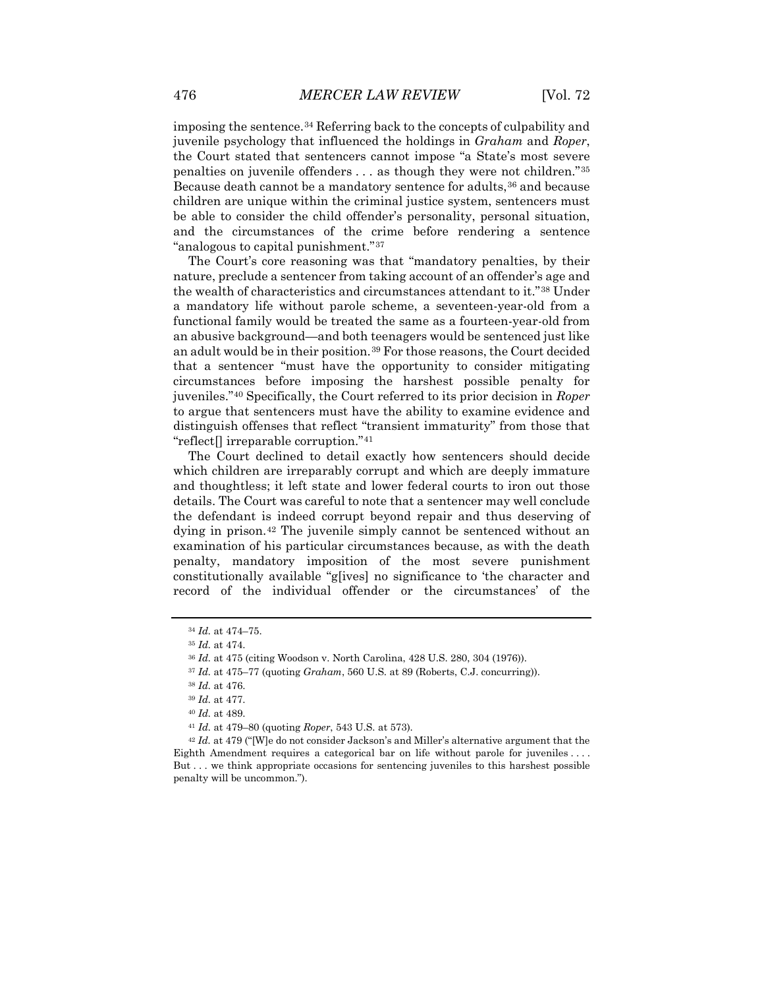imposing the sentence.[34](#page-6-0) Referring back to the concepts of culpability and juvenile psychology that influenced the holdings in *Graham* and *Roper*, the Court stated that sentencers cannot impose "a State's most severe penalties on juvenile offenders . . . as though they were not children."[35](#page-6-1) Because death cannot be a mandatory sentence for adults, <sup>[36](#page-6-2)</sup> and because children are unique within the criminal justice system, sentencers must be able to consider the child offender's personality, personal situation, and the circumstances of the crime before rendering a sentence "analogous to capital punishment."[37](#page-6-3)

The Court's core reasoning was that "mandatory penalties, by their nature, preclude a sentencer from taking account of an offender's age and the wealth of characteristics and circumstances attendant to it."[38](#page-6-4) Under a mandatory life without parole scheme, a seventeen-year-old from a functional family would be treated the same as a fourteen-year-old from an abusive background—and both teenagers would be sentenced just like an adult would be in their position.<sup>[39](#page-6-5)</sup> For those reasons, the Court decided that a sentencer "must have the opportunity to consider mitigating circumstances before imposing the harshest possible penalty for juveniles."[40](#page-6-6) Specifically, the Court referred to its prior decision in *Roper* to argue that sentencers must have the ability to examine evidence and distinguish offenses that reflect "transient immaturity" from those that "reflect[] irreparable corruption."[41](#page-6-7)

The Court declined to detail exactly how sentencers should decide which children are irreparably corrupt and which are deeply immature and thoughtless; it left state and lower federal courts to iron out those details. The Court was careful to note that a sentencer may well conclude the defendant is indeed corrupt beyond repair and thus deserving of dying in prison.<sup>[42](#page-6-8)</sup> The juvenile simply cannot be sentenced without an examination of his particular circumstances because, as with the death penalty, mandatory imposition of the most severe punishment constitutionally available "g[ives] no significance to 'the character and record of the individual offender or the circumstances' of the

<span id="page-6-0"></span><sup>34</sup> *Id.* at 474–75.

<span id="page-6-2"></span><span id="page-6-1"></span><sup>35</sup> *Id.* at 474.

<sup>36</sup> *Id.* at 475 (citing Woodson v. North Carolina, 428 U.S. 280, 304 (1976)).

<span id="page-6-3"></span><sup>37</sup> *Id.* at 475–77 (quoting *Graham*, 560 U.S. at 89 (Roberts, C.J. concurring)).

<sup>38</sup> *Id.* at 476.

<sup>39</sup> *Id.* at 477.

<sup>40</sup> *Id.* at 489.

<sup>41</sup> *Id.* at 479–80 (quoting *Roper*, 543 U.S. at 573).

<span id="page-6-8"></span><span id="page-6-7"></span><span id="page-6-6"></span><span id="page-6-5"></span><span id="page-6-4"></span><sup>42</sup> *Id.* at 479 ("[W]e do not consider Jackson's and Miller's alternative argument that the Eighth Amendment requires a categorical bar on life without parole for juveniles . . . . But . . . we think appropriate occasions for sentencing juveniles to this harshest possible penalty will be uncommon.").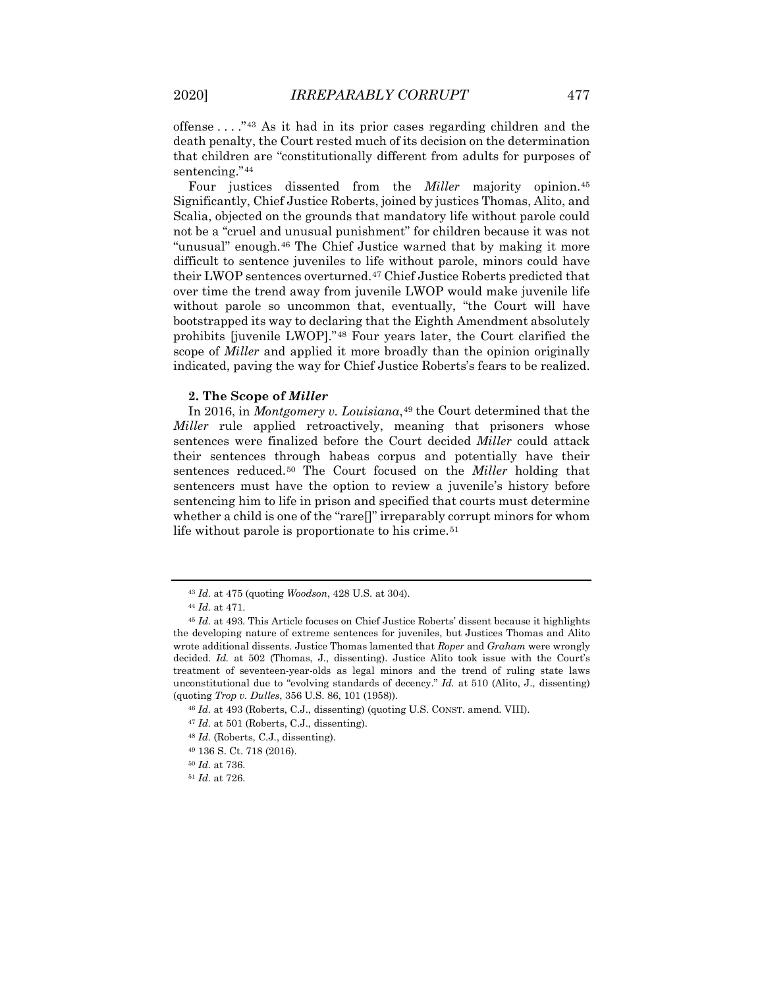offense . . . ."[43](#page-7-0) As it had in its prior cases regarding children and the death penalty, the Court rested much of its decision on the determination that children are "constitutionally different from adults for purposes of sentencing."<sup>[44](#page-7-1)</sup>

Four justices dissented from the *Miller* majority opinion.<sup>[45](#page-7-2)</sup> Significantly, Chief Justice Roberts, joined by justices Thomas, Alito, and Scalia, objected on the grounds that mandatory life without parole could not be a "cruel and unusual punishment" for children because it was not "unusual" enough.[46](#page-7-3) The Chief Justice warned that by making it more difficult to sentence juveniles to life without parole, minors could have their LWOP sentences overturned.[47](#page-7-4) Chief Justice Roberts predicted that over time the trend away from juvenile LWOP would make juvenile life without parole so uncommon that, eventually, "the Court will have bootstrapped its way to declaring that the Eighth Amendment absolutely prohibits [juvenile LWOP]."[48](#page-7-5) Four years later, the Court clarified the scope of *Miller* and applied it more broadly than the opinion originally indicated, paving the way for Chief Justice Roberts's fears to be realized.

#### **2. The Scope of** *Miller*

In 2016, in *Montgomery v. Louisiana*,<sup>[49](#page-7-6)</sup> the Court determined that the *Miller* rule applied retroactively, meaning that prisoners whose sentences were finalized before the Court decided *Miller* could attack their sentences through habeas corpus and potentially have their sentences reduced.[50](#page-7-7) The Court focused on the *Miller* holding that sentencers must have the option to review a juvenile's history before sentencing him to life in prison and specified that courts must determine whether a child is one of the "rare[]" irreparably corrupt minors for whom life without parole is proportionate to his crime.<sup>[51](#page-7-8)</sup>

<sup>43</sup> *Id.* at 475 (quoting *Woodson*, 428 U.S. at 304).

<sup>44</sup> *Id.* at 471.

<span id="page-7-2"></span><span id="page-7-1"></span><span id="page-7-0"></span><sup>45</sup> *Id.* at 493. This Article focuses on Chief Justice Roberts' dissent because it highlights the developing nature of extreme sentences for juveniles, but Justices Thomas and Alito wrote additional dissents. Justice Thomas lamented that *Roper* and *Graham* were wrongly decided. *Id.* at 502 (Thomas, J., dissenting). Justice Alito took issue with the Court's treatment of seventeen-year-olds as legal minors and the trend of ruling state laws unconstitutional due to "evolving standards of decency." *Id.* at 510 (Alito, J., dissenting) (quoting *Trop v. Dulles*, 356 U.S. 86, 101 (1958)).

<sup>46</sup> *Id.* at 493 (Roberts, C.J., dissenting) (quoting U.S. CONST. amend. VIII).

<span id="page-7-4"></span><span id="page-7-3"></span><sup>47</sup> *Id.* at 501 (Roberts, C.J., dissenting).

<span id="page-7-6"></span><span id="page-7-5"></span><sup>48</sup> *Id.* (Roberts, C.J., dissenting).

<sup>49</sup> 136 S. Ct. 718 (2016).

<span id="page-7-7"></span><sup>50</sup> *Id.* at 736.

<span id="page-7-8"></span><sup>51</sup> *Id.* at 726.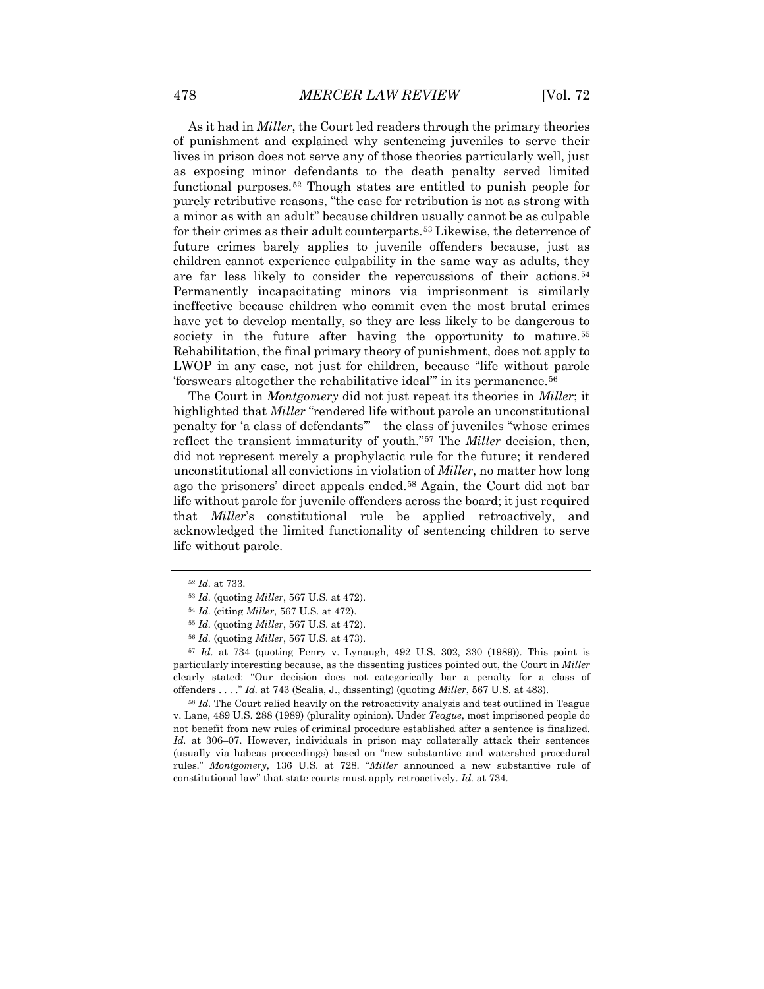As it had in *Miller*, the Court led readers through the primary theories of punishment and explained why sentencing juveniles to serve their lives in prison does not serve any of those theories particularly well, just as exposing minor defendants to the death penalty served limited functional purposes.[52](#page-8-0) Though states are entitled to punish people for purely retributive reasons, "the case for retribution is not as strong with a minor as with an adult" because children usually cannot be as culpable for their crimes as their adult counterparts.[53](#page-8-1) Likewise, the deterrence of future crimes barely applies to juvenile offenders because, just as children cannot experience culpability in the same way as adults, they are far less likely to consider the repercussions of their actions.[54](#page-8-2) Permanently incapacitating minors via imprisonment is similarly ineffective because children who commit even the most brutal crimes have yet to develop mentally, so they are less likely to be dangerous to society in the future after having the opportunity to mature.<sup>[55](#page-8-3)</sup> Rehabilitation, the final primary theory of punishment, does not apply to LWOP in any case, not just for children, because "life without parole 'forswears altogether the rehabilitative ideal'" in its permanence.[56](#page-8-4)

The Court in *Montgomery* did not just repeat its theories in *Miller*; it highlighted that *Miller* "rendered life without parole an unconstitutional penalty for 'a class of defendants'"—the class of juveniles "whose crimes reflect the transient immaturity of youth."[57](#page-8-5) The *Miller* decision, then, did not represent merely a prophylactic rule for the future; it rendered unconstitutional all convictions in violation of *Miller*, no matter how long ago the prisoners' direct appeals ended.[58](#page-8-6) Again, the Court did not bar life without parole for juvenile offenders across the board; it just required that *Miller*'s constitutional rule be applied retroactively, and acknowledged the limited functionality of sentencing children to serve life without parole.

<span id="page-8-5"></span><span id="page-8-4"></span><span id="page-8-3"></span><span id="page-8-2"></span><span id="page-8-1"></span><sup>57</sup> *Id.* at 734 (quoting Penry v. Lynaugh, 492 U.S. 302, 330 (1989)). This point is particularly interesting because, as the dissenting justices pointed out, the Court in *Miller* clearly stated: "Our decision does not categorically bar a penalty for a class of offenders . . . ." *Id.* at 743 (Scalia, J., dissenting) (quoting *Miller*, 567 U.S. at 483).

<span id="page-8-6"></span><sup>58</sup> *Id.* The Court relied heavily on the retroactivity analysis and test outlined in Teague v. Lane, 489 U.S. 288 (1989) (plurality opinion). Under *Teague*, most imprisoned people do not benefit from new rules of criminal procedure established after a sentence is finalized. *Id.* at 306–07. However, individuals in prison may collaterally attack their sentences (usually via habeas proceedings) based on "new substantive and watershed procedural rules." *Montgomery*, 136 U.S. at 728. "*Miller* announced a new substantive rule of constitutional law" that state courts must apply retroactively. *Id.* at 734.

<span id="page-8-0"></span><sup>52</sup> *Id.* at 733.

<sup>53</sup> *Id.* (quoting *Miller*, 567 U.S. at 472).

<sup>54</sup> *Id.* (citing *Miller*, 567 U.S. at 472).

<sup>55</sup> *Id.* (quoting *Miller*, 567 U.S. at 472).

<sup>56</sup> *Id.* (quoting *Miller*, 567 U.S. at 473).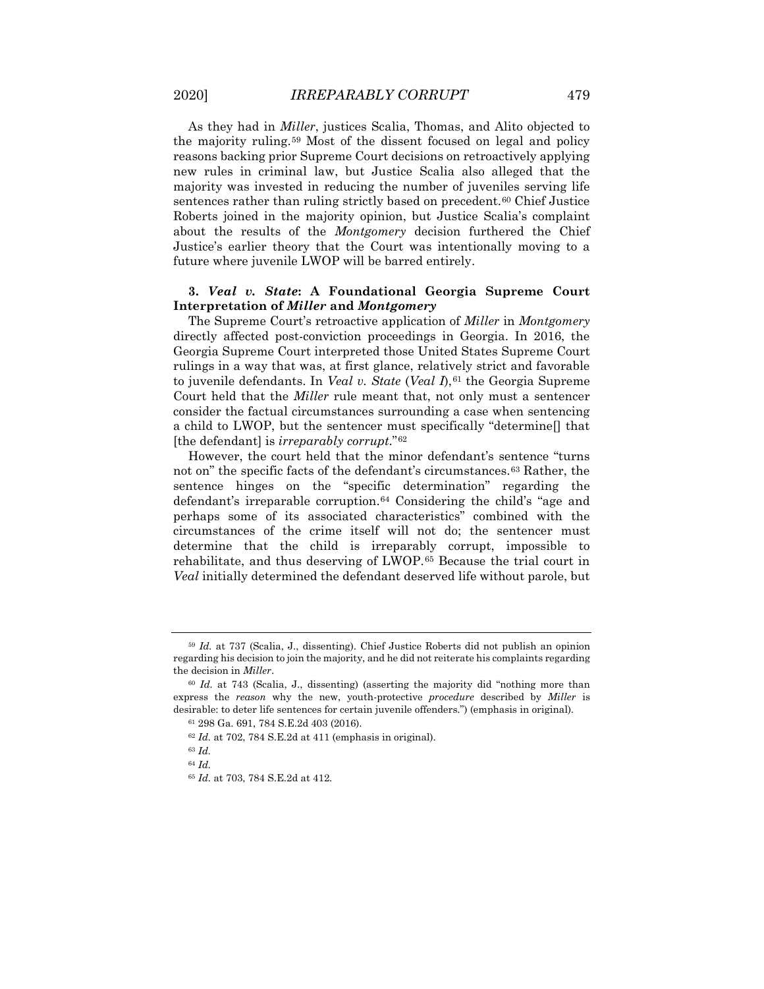As they had in *Miller*, justices Scalia, Thomas, and Alito objected to the majority ruling.[59](#page-9-0) Most of the dissent focused on legal and policy reasons backing prior Supreme Court decisions on retroactively applying new rules in criminal law, but Justice Scalia also alleged that the majority was invested in reducing the number of juveniles serving life sentences rather than ruling strictly based on precedent.<sup>[60](#page-9-1)</sup> Chief Justice Roberts joined in the majority opinion, but Justice Scalia's complaint about the results of the *Montgomery* decision furthered the Chief Justice's earlier theory that the Court was intentionally moving to a future where juvenile LWOP will be barred entirely.

# **3.** *Veal v. State***: A Foundational Georgia Supreme Court Interpretation of** *Miller* **and** *Montgomery*

The Supreme Court's retroactive application of *Miller* in *Montgomery* directly affected post-conviction proceedings in Georgia. In 2016, the Georgia Supreme Court interpreted those United States Supreme Court rulings in a way that was, at first glance, relatively strict and favorable to juvenile defendants. In *Veal v. State (Veal I)*,<sup>[61](#page-9-2)</sup> the Georgia Supreme Court held that the *Miller* rule meant that, not only must a sentencer consider the factual circumstances surrounding a case when sentencing a child to LWOP, but the sentencer must specifically "determine[] that [the defendant] is *irreparably corrupt*."[62](#page-9-3)

However, the court held that the minor defendant's sentence "turns not on" the specific facts of the defendant's circumstances.<sup>[63](#page-9-4)</sup> Rather, the sentence hinges on the "specific determination" regarding the defendant's irreparable corruption.[64](#page-9-5) Considering the child's "age and perhaps some of its associated characteristics" combined with the circumstances of the crime itself will not do; the sentencer must determine that the child is irreparably corrupt, impossible to rehabilitate, and thus deserving of LWOP.[65](#page-9-6) Because the trial court in *Veal* initially determined the defendant deserved life without parole, but

<span id="page-9-0"></span><sup>59</sup> *Id.* at 737 (Scalia, J., dissenting). Chief Justice Roberts did not publish an opinion regarding his decision to join the majority, and he did not reiterate his complaints regarding the decision in *Miller*.

<span id="page-9-4"></span><span id="page-9-3"></span><span id="page-9-2"></span><span id="page-9-1"></span><sup>60</sup> *Id.* at 743 (Scalia, J., dissenting) (asserting the majority did "nothing more than express the *reason* why the new, youth-protective *procedure* described by *Miller* is desirable: to deter life sentences for certain juvenile offenders.") (emphasis in original).

<sup>61</sup> 298 Ga. 691, 784 S.E.2d 403 (2016).

<sup>62</sup> *Id.* at 702, 784 S.E.2d at 411 (emphasis in original).

<sup>63</sup> *Id.*

<span id="page-9-6"></span><span id="page-9-5"></span><sup>64</sup> *Id.*

<sup>65</sup> *Id.* at 703, 784 S.E.2d at 412.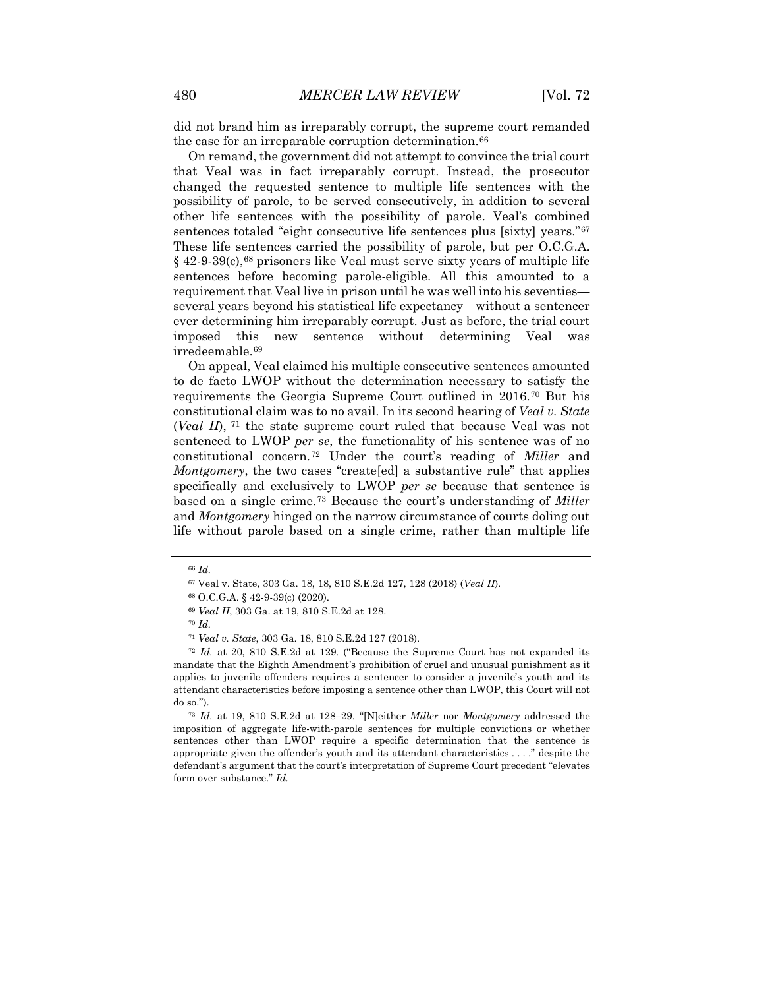did not brand him as irreparably corrupt, the supreme court remanded the case for an irreparable corruption determination.<sup>[66](#page-10-0)</sup>

On remand, the government did not attempt to convince the trial court that Veal was in fact irreparably corrupt. Instead, the prosecutor changed the requested sentence to multiple life sentences with the possibility of parole, to be served consecutively, in addition to several other life sentences with the possibility of parole. Veal's combined sentences totaled "eight consecutive life sentences plus [sixty] years."<sup>[67](#page-10-1)</sup> These life sentences carried the possibility of parole, but per O.C.G.A. § 42-9-39(c),<sup>[68](#page-10-2)</sup> prisoners like Veal must serve sixty years of multiple life sentences before becoming parole-eligible. All this amounted to a requirement that Veal live in prison until he was well into his seventies several years beyond his statistical life expectancy—without a sentencer ever determining him irreparably corrupt. Just as before, the trial court imposed this new sentence without determining Veal was irredeemable.[69](#page-10-3)

On appeal, Veal claimed his multiple consecutive sentences amounted to de facto LWOP without the determination necessary to satisfy the requirements the Georgia Supreme Court outlined in 2016.[70](#page-10-4) But his constitutional claim was to no avail. In its second hearing of *Veal v. State* (*Veal II*), [71](#page-10-5) the state supreme court ruled that because Veal was not sentenced to LWOP *per se*, the functionality of his sentence was of no constitutional concern.[72](#page-10-6) Under the court's reading of *Miller* and *Montgomery*, the two cases "create[ed] a substantive rule" that applies specifically and exclusively to LWOP *per se* because that sentence is based on a single crime.[73](#page-10-7) Because the court's understanding of *Miller* and *Montgomery* hinged on the narrow circumstance of courts doling out life without parole based on a single crime, rather than multiple life

<span id="page-10-7"></span><sup>73</sup> *Id.* at 19, 810 S.E.2d at 128–29. "[N]either *Miller* nor *Montgomery* addressed the imposition of aggregate life-with-parole sentences for multiple convictions or whether sentences other than LWOP require a specific determination that the sentence is appropriate given the offender's youth and its attendant characteristics . . . ." despite the defendant's argument that the court's interpretation of Supreme Court precedent "elevates form over substance." *Id.*

<span id="page-10-1"></span><span id="page-10-0"></span><sup>66</sup> *Id.*

<sup>67</sup> Veal v. State, 303 Ga. 18, 18, 810 S.E.2d 127, 128 (2018) (*Veal II*).

<sup>68</sup> O.C.G.A. § 42-9-39(c) (2020).

<sup>69</sup> *Veal II*, 303 Ga. at 19, 810 S.E.2d at 128.

<sup>70</sup> *Id.*

<sup>71</sup> *Veal v. State*, 303 Ga. 18, 810 S.E.2d 127 (2018).

<span id="page-10-6"></span><span id="page-10-5"></span><span id="page-10-4"></span><span id="page-10-3"></span><span id="page-10-2"></span><sup>72</sup> *Id.* at 20, 810 S.E.2d at 129. ("Because the Supreme Court has not expanded its mandate that the Eighth Amendment's prohibition of cruel and unusual punishment as it applies to juvenile offenders requires a sentencer to consider a juvenile's youth and its attendant characteristics before imposing a sentence other than LWOP, this Court will not do so.").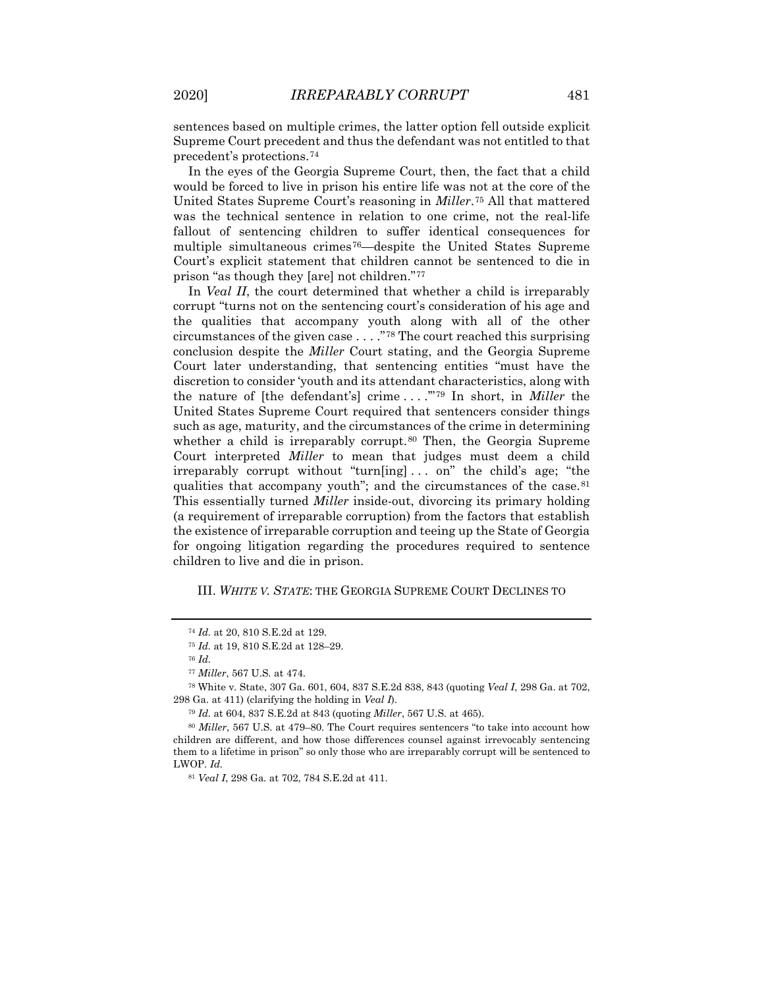sentences based on multiple crimes, the latter option fell outside explicit Supreme Court precedent and thus the defendant was not entitled to that precedent's protections.[74](#page-11-0)

In the eyes of the Georgia Supreme Court, then, the fact that a child would be forced to live in prison his entire life was not at the core of the United States Supreme Court's reasoning in *Miller*.[75](#page-11-1) All that mattered was the technical sentence in relation to one crime, not the real-life fallout of sentencing children to suffer identical consequences for multiple simultaneous crimes[76—](#page-11-2)despite the United States Supreme Court's explicit statement that children cannot be sentenced to die in prison "as though they [are] not children."[77](#page-11-3)

In *Veal II*, the court determined that whether a child is irreparably corrupt "turns not on the sentencing court's consideration of his age and the qualities that accompany youth along with all of the other circumstances of the given case . . . ."[78](#page-11-4) The court reached this surprising conclusion despite the *Miller* Court stating, and the Georgia Supreme Court later understanding, that sentencing entities "must have the discretion to consider 'youth and its attendant characteristics, along with the nature of [the defendant's] crime . . . .'"[79](#page-11-5) In short, in *Miller* the United States Supreme Court required that sentencers consider things such as age, maturity, and the circumstances of the crime in determining whether a child is irreparably corrupt.<sup>[80](#page-11-6)</sup> Then, the Georgia Supreme Court interpreted *Miller* to mean that judges must deem a child irreparably corrupt without "turn[ing] . . . on" the child's age; "the qualities that accompany youth"; and the circumstances of the case.<sup>[81](#page-11-7)</sup> This essentially turned *Miller* inside-out, divorcing its primary holding (a requirement of irreparable corruption) from the factors that establish the existence of irreparable corruption and teeing up the State of Georgia for ongoing litigation regarding the procedures required to sentence children to live and die in prison.

# III. *WHITE V. STATE*: THE GEORGIA SUPREME COURT DECLINES TO

<sup>74</sup> *Id.* at 20, 810 S.E.2d at 129.

<sup>75</sup> *Id.* at 19, 810 S.E.2d at 128–29.

<sup>76</sup> *Id.*

<sup>77</sup> *Miller*, 567 U.S. at 474.

<span id="page-11-4"></span><span id="page-11-3"></span><span id="page-11-2"></span><span id="page-11-1"></span><span id="page-11-0"></span><sup>78</sup> White v. State, 307 Ga. 601, 604, 837 S.E.2d 838, 843 (quoting *Veal I*, 298 Ga. at 702, 298 Ga. at 411) (clarifying the holding in *Veal I*).

<sup>79</sup> *Id.* at 604, 837 S.E.2d at 843 (quoting *Miller*, 567 U.S. at 465).

<span id="page-11-7"></span><span id="page-11-6"></span><span id="page-11-5"></span><sup>80</sup> *Miller*, 567 U.S. at 479–80. The Court requires sentencers "to take into account how children are different, and how those differences counsel against irrevocably sentencing them to a lifetime in prison" so only those who are irreparably corrupt will be sentenced to LWOP. *Id.*

<sup>81</sup> *Veal I*, 298 Ga. at 702, 784 S.E.2d at 411.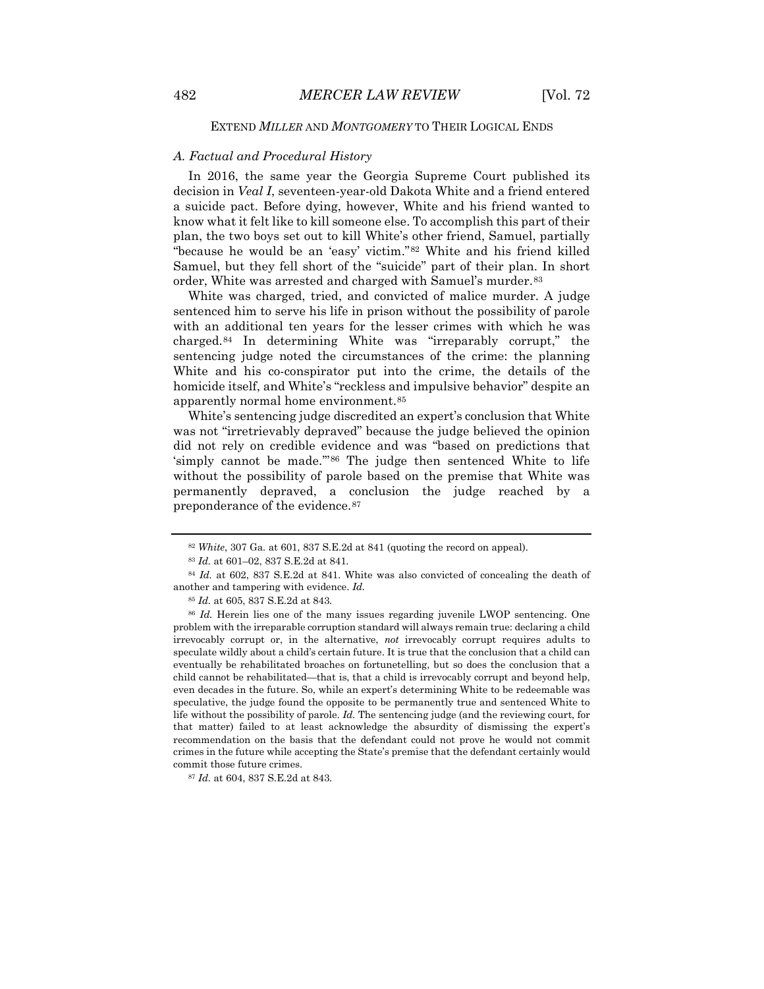#### EXTEND *MILLER* AND *MONTGOMERY* TO THEIR LOGICAL ENDS

#### *A. Factual and Procedural History*

In 2016, the same year the Georgia Supreme Court published its decision in *Veal I*, seventeen-year-old Dakota White and a friend entered a suicide pact. Before dying, however, White and his friend wanted to know what it felt like to kill someone else. To accomplish this part of their plan, the two boys set out to kill White's other friend, Samuel, partially "because he would be an 'easy' victim."[82](#page-12-0) White and his friend killed Samuel, but they fell short of the "suicide" part of their plan. In short order, White was arrested and charged with Samuel's murder.<sup>[83](#page-12-1)</sup>

White was charged, tried, and convicted of malice murder. A judge sentenced him to serve his life in prison without the possibility of parole with an additional ten years for the lesser crimes with which he was charged.[84](#page-12-2) In determining White was "irreparably corrupt," the sentencing judge noted the circumstances of the crime: the planning White and his co-conspirator put into the crime, the details of the homicide itself, and White's "reckless and impulsive behavior" despite an apparently normal home environment.[85](#page-12-3)

White's sentencing judge discredited an expert's conclusion that White was not "irretrievably depraved" because the judge believed the opinion did not rely on credible evidence and was "based on predictions that 'simply cannot be made.'"[86](#page-12-4) The judge then sentenced White to life without the possibility of parole based on the premise that White was permanently depraved, a conclusion the judge reached by a preponderance of the evidence.[87](#page-12-5)

<sup>82</sup> *White*, 307 Ga*.* at 601, 837 S.E.2d at 841 (quoting the record on appeal).

<sup>83</sup> *Id.* at 601–02, 837 S.E.2d at 841.

<span id="page-12-2"></span><span id="page-12-1"></span><span id="page-12-0"></span><sup>84</sup> *Id.* at 602, 837 S.E.2d at 841. White was also convicted of concealing the death of another and tampering with evidence. *Id.*

<sup>85</sup> *Id.* at 605, 837 S.E.2d at 843.

<span id="page-12-4"></span><span id="page-12-3"></span><sup>86</sup> *Id.* Herein lies one of the many issues regarding juvenile LWOP sentencing. One problem with the irreparable corruption standard will always remain true: declaring a child irrevocably corrupt or, in the alternative, *not* irrevocably corrupt requires adults to speculate wildly about a child's certain future. It is true that the conclusion that a child can eventually be rehabilitated broaches on fortunetelling, but so does the conclusion that a child cannot be rehabilitated—that is, that a child is irrevocably corrupt and beyond help, even decades in the future. So, while an expert's determining White to be redeemable was speculative, the judge found the opposite to be permanently true and sentenced White to life without the possibility of parole. *Id.* The sentencing judge (and the reviewing court, for that matter) failed to at least acknowledge the absurdity of dismissing the expert's recommendation on the basis that the defendant could not prove he would not commit crimes in the future while accepting the State's premise that the defendant certainly would commit those future crimes.

<span id="page-12-5"></span><sup>87</sup> *Id.* at 604, 837 S.E.2d at 843.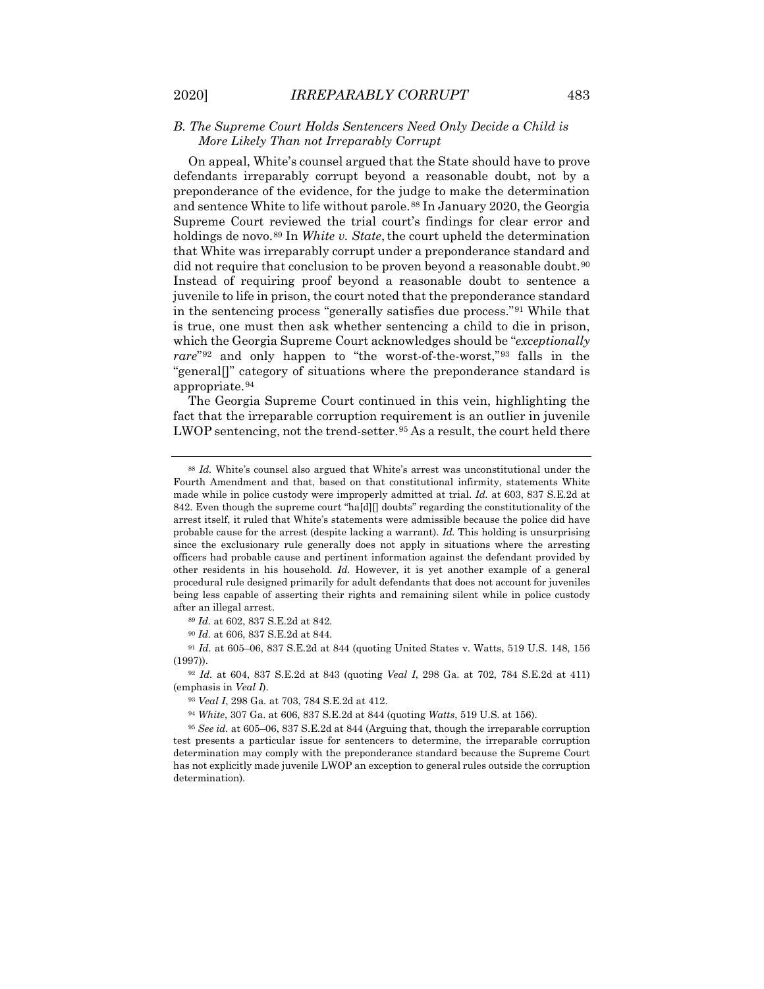## *B. The Supreme Court Holds Sentencers Need Only Decide a Child is More Likely Than not Irreparably Corrupt*

On appeal, White's counsel argued that the State should have to prove defendants irreparably corrupt beyond a reasonable doubt, not by a preponderance of the evidence, for the judge to make the determination and sentence White to life without parole.<sup>[88](#page-13-0)</sup> In January 2020, the Georgia Supreme Court reviewed the trial court's findings for clear error and holdings de novo.<sup>[89](#page-13-1)</sup> In *White v. State*, the court upheld the determination that White was irreparably corrupt under a preponderance standard and did not require that conclusion to be proven beyond a reasonable doubt.<sup>[90](#page-13-2)</sup> Instead of requiring proof beyond a reasonable doubt to sentence a juvenile to life in prison, the court noted that the preponderance standard in the sentencing process "generally satisfies due process."[91](#page-13-3) While that is true, one must then ask whether sentencing a child to die in prison, which the Georgia Supreme Court acknowledges should be "*exceptionally rare*"[92](#page-13-4) and only happen to "the worst-of-the-worst,"[93](#page-13-5) falls in the "general[]" category of situations where the preponderance standard is appropriate.[94](#page-13-6)

The Georgia Supreme Court continued in this vein, highlighting the fact that the irreparable corruption requirement is an outlier in juvenile LWOP sentencing, not the trend-setter.<sup>[95](#page-13-7)</sup> As a result, the court held there

<sup>90</sup> *Id.* at 606, 837 S.E.2d at 844.

<span id="page-13-3"></span><span id="page-13-2"></span><span id="page-13-1"></span><sup>91</sup> *Id.* at 605–06, 837 S.E.2d at 844 (quoting United States v. Watts, 519 U.S. 148, 156 (1997)).

<span id="page-13-5"></span><span id="page-13-4"></span><sup>92</sup> *Id.* at 604, 837 S.E.2d at 843 (quoting *Veal I*, 298 Ga. at 702, 784 S.E.2d at 411) (emphasis in *Veal I*).

<sup>93</sup> *Veal I*, 298 Ga. at 703, 784 S.E.2d at 412.

<sup>94</sup> *White*, 307 Ga. at 606, 837 S.E.2d at 844 (quoting *Watts*, 519 U.S. at 156).

<span id="page-13-7"></span><span id="page-13-6"></span><sup>95</sup> *See id.* at 605–06, 837 S.E.2d at 844 (Arguing that, though the irreparable corruption test presents a particular issue for sentencers to determine, the irreparable corruption determination may comply with the preponderance standard because the Supreme Court has not explicitly made juvenile LWOP an exception to general rules outside the corruption determination).

<span id="page-13-0"></span><sup>88</sup> *Id.* White's counsel also argued that White's arrest was unconstitutional under the Fourth Amendment and that, based on that constitutional infirmity, statements White made while in police custody were improperly admitted at trial. *Id.* at 603, 837 S.E.2d at 842. Even though the supreme court "ha[d][] doubts" regarding the constitutionality of the arrest itself, it ruled that White's statements were admissible because the police did have probable cause for the arrest (despite lacking a warrant). *Id.* This holding is unsurprising since the exclusionary rule generally does not apply in situations where the arresting officers had probable cause and pertinent information against the defendant provided by other residents in his household. *Id.* However, it is yet another example of a general procedural rule designed primarily for adult defendants that does not account for juveniles being less capable of asserting their rights and remaining silent while in police custody after an illegal arrest.

<sup>89</sup> *Id.* at 602, 837 S.E.2d at 842.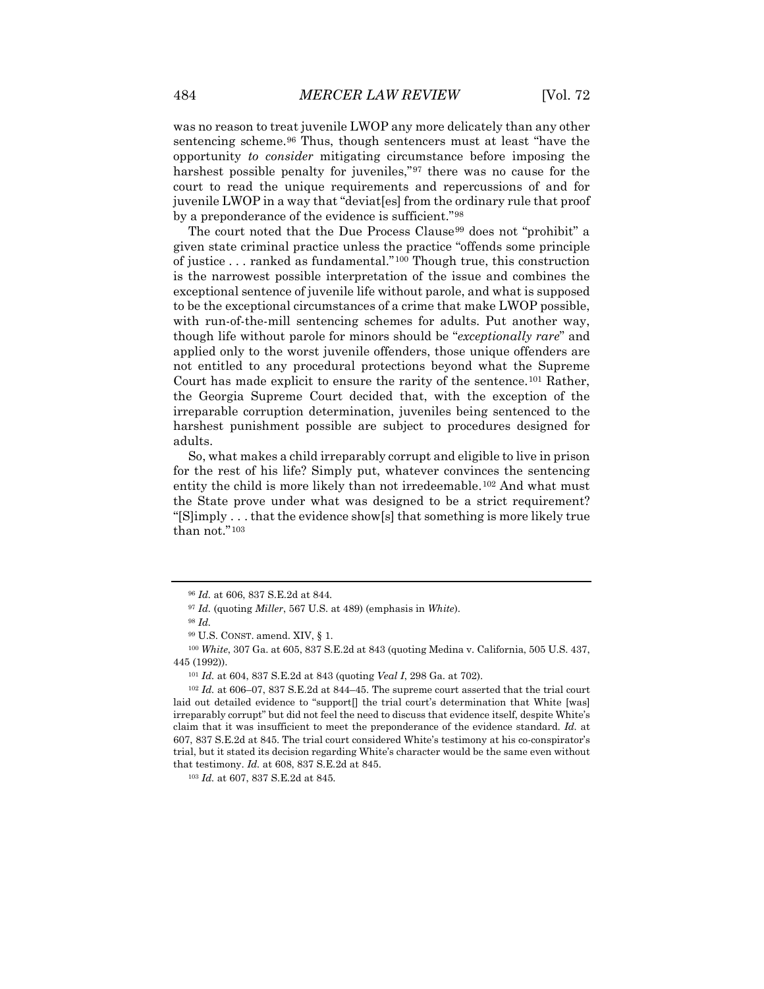was no reason to treat juvenile LWOP any more delicately than any other sentencing scheme.<sup>[96](#page-14-0)</sup> Thus, though sentencers must at least "have the opportunity *to consider* mitigating circumstance before imposing the harshest possible penalty for juveniles,"[97](#page-14-1) there was no cause for the court to read the unique requirements and repercussions of and for juvenile LWOP in a way that "deviat[es] from the ordinary rule that proof by a preponderance of the evidence is sufficient."[98](#page-14-2)

The court noted that the Due Process Clause<sup>[99](#page-14-3)</sup> does not "prohibit" a given state criminal practice unless the practice "offends some principle of justice . . . ranked as fundamental."[100](#page-14-4) Though true, this construction is the narrowest possible interpretation of the issue and combines the exceptional sentence of juvenile life without parole, and what is supposed to be the exceptional circumstances of a crime that make LWOP possible, with run-of-the-mill sentencing schemes for adults. Put another way, though life without parole for minors should be "*exceptionally rare*" and applied only to the worst juvenile offenders, those unique offenders are not entitled to any procedural protections beyond what the Supreme Court has made explicit to ensure the rarity of the sentence.[101](#page-14-5) Rather, the Georgia Supreme Court decided that, with the exception of the irreparable corruption determination, juveniles being sentenced to the harshest punishment possible are subject to procedures designed for adults.

So, what makes a child irreparably corrupt and eligible to live in prison for the rest of his life? Simply put, whatever convinces the sentencing entity the child is more likely than not irredeemable.[102](#page-14-6) And what must the State prove under what was designed to be a strict requirement? "[S]imply . . . that the evidence show[s] that something is more likely true than not."[103](#page-14-7)

<sup>96</sup> *Id.* at 606, 837 S.E.2d at 844.

<sup>97</sup> *Id.* (quoting *Miller*, 567 U.S. at 489) (emphasis in *White*).

<sup>98</sup> *Id.*

<sup>99</sup> U.S. CONST. amend. XIV, § 1.

<span id="page-14-4"></span><span id="page-14-3"></span><span id="page-14-2"></span><span id="page-14-1"></span><span id="page-14-0"></span><sup>100</sup> *White*, 307 Ga. at 605, 837 S.E.2d at 843 (quoting Medina v. California, 505 U.S. 437, 445 (1992)).

<sup>101</sup> *Id.* at 604, 837 S.E.2d at 843 (quoting *Veal I*, 298 Ga. at 702).

<span id="page-14-6"></span><span id="page-14-5"></span><sup>102</sup> *Id.* at 606–07, 837 S.E.2d at 844–45. The supreme court asserted that the trial court laid out detailed evidence to "support<sup>[]</sup> the trial court's determination that White [was] irreparably corrupt" but did not feel the need to discuss that evidence itself, despite White's claim that it was insufficient to meet the preponderance of the evidence standard. *Id.* at 607, 837 S.E.2d at 845. The trial court considered White's testimony at his co-conspirator's trial, but it stated its decision regarding White's character would be the same even without that testimony. *Id.* at 608, 837 S.E.2d at 845.

<span id="page-14-7"></span><sup>103</sup> *Id.* at 607, 837 S.E.2d at 845.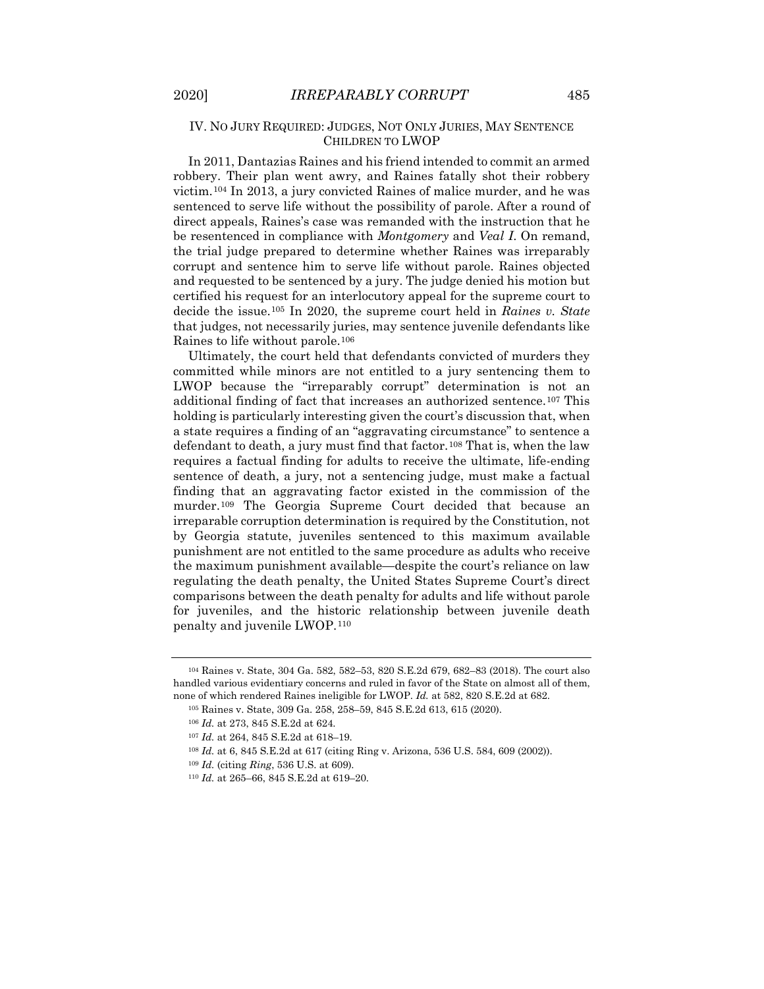# IV. NO JURY REQUIRED: JUDGES, NOT ONLY JURIES, MAY SENTENCE CHILDREN TO LWOP

In 2011, Dantazias Raines and his friend intended to commit an armed robbery. Their plan went awry, and Raines fatally shot their robbery victim.[104](#page-15-0) In 2013, a jury convicted Raines of malice murder, and he was sentenced to serve life without the possibility of parole. After a round of direct appeals, Raines's case was remanded with the instruction that he be resentenced in compliance with *Montgomery* and *Veal I*. On remand, the trial judge prepared to determine whether Raines was irreparably corrupt and sentence him to serve life without parole. Raines objected and requested to be sentenced by a jury. The judge denied his motion but certified his request for an interlocutory appeal for the supreme court to decide the issue.[105](#page-15-1) In 2020, the supreme court held in *Raines v. State*  that judges, not necessarily juries, may sentence juvenile defendants like Raines to life without parole.[106](#page-15-2)

Ultimately, the court held that defendants convicted of murders they committed while minors are not entitled to a jury sentencing them to LWOP because the "irreparably corrupt" determination is not an additional finding of fact that increases an authorized sentence.[107](#page-15-3) This holding is particularly interesting given the court's discussion that, when a state requires a finding of an "aggravating circumstance" to sentence a defendant to death, a jury must find that factor.<sup>[108](#page-15-4)</sup> That is, when the law requires a factual finding for adults to receive the ultimate, life-ending sentence of death, a jury, not a sentencing judge, must make a factual finding that an aggravating factor existed in the commission of the murder.[109](#page-15-5) The Georgia Supreme Court decided that because an irreparable corruption determination is required by the Constitution, not by Georgia statute, juveniles sentenced to this maximum available punishment are not entitled to the same procedure as adults who receive the maximum punishment available—despite the court's reliance on law regulating the death penalty, the United States Supreme Court's direct comparisons between the death penalty for adults and life without parole for juveniles, and the historic relationship between juvenile death penalty and juvenile LWOP.[110](#page-15-6)

<span id="page-15-3"></span><span id="page-15-2"></span><span id="page-15-1"></span><span id="page-15-0"></span><sup>104</sup> Raines v. State, 304 Ga. 582, 582–53, 820 S.E.2d 679, 682–83 (2018). The court also handled various evidentiary concerns and ruled in favor of the State on almost all of them, none of which rendered Raines ineligible for LWOP. *Id.* at 582, 820 S.E.2d at 682.

<sup>105</sup> Raines v. State, 309 Ga. 258, 258–59, 845 S.E.2d 613, 615 (2020).

<sup>106</sup> *Id.* at 273, 845 S.E.2d at 624.

<sup>107</sup> *Id.* at 264, 845 S.E.2d at 618–19.

<span id="page-15-4"></span><sup>108</sup> *Id.* at 6, 845 S.E.2d at 617 (citing Ring v. Arizona, 536 U.S. 584, 609 (2002)).

<span id="page-15-5"></span><sup>109</sup> *Id.* (citing *Ring*, 536 U.S. at 609).

<span id="page-15-6"></span><sup>110</sup> *Id.* at 265–66, 845 S.E.2d at 619–20.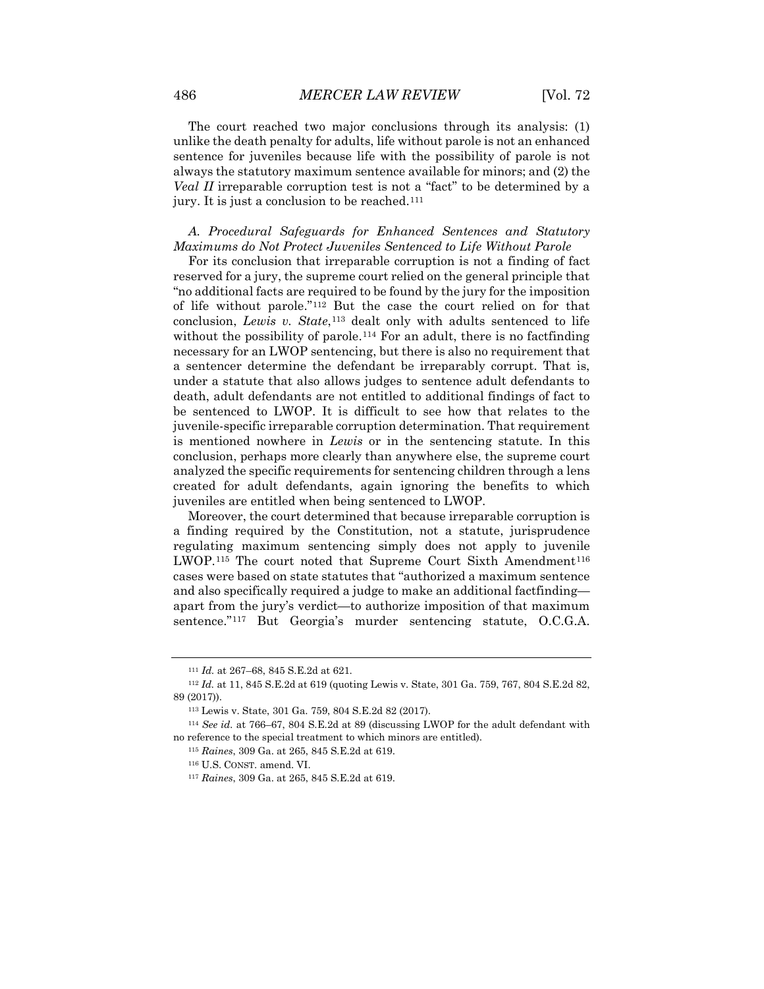The court reached two major conclusions through its analysis: (1) unlike the death penalty for adults, life without parole is not an enhanced sentence for juveniles because life with the possibility of parole is not always the statutory maximum sentence available for minors; and (2) the *Veal II* irreparable corruption test is not a "fact" to be determined by a jury. It is just a conclusion to be reached.[111](#page-16-0)

*A. Procedural Safeguards for Enhanced Sentences and Statutory Maximums do Not Protect Juveniles Sentenced to Life Without Parole*

For its conclusion that irreparable corruption is not a finding of fact reserved for a jury, the supreme court relied on the general principle that "no additional facts are required to be found by the jury for the imposition of life without parole."[112](#page-16-1) But the case the court relied on for that conclusion, *Lewis v. State*,<sup>[113](#page-16-2)</sup> dealt only with adults sentenced to life without the possibility of parole.<sup>[114](#page-16-3)</sup> For an adult, there is no factfinding necessary for an LWOP sentencing, but there is also no requirement that a sentencer determine the defendant be irreparably corrupt. That is, under a statute that also allows judges to sentence adult defendants to death, adult defendants are not entitled to additional findings of fact to be sentenced to LWOP. It is difficult to see how that relates to the juvenile-specific irreparable corruption determination. That requirement is mentioned nowhere in *Lewis* or in the sentencing statute. In this conclusion, perhaps more clearly than anywhere else, the supreme court analyzed the specific requirements for sentencing children through a lens created for adult defendants, again ignoring the benefits to which juveniles are entitled when being sentenced to LWOP.

Moreover, the court determined that because irreparable corruption is a finding required by the Constitution, not a statute, jurisprudence regulating maximum sentencing simply does not apply to juvenile LWOP.<sup>[115](#page-16-4)</sup> The court noted that Supreme Court Sixth Amendment<sup>[116](#page-16-5)</sup> cases were based on state statutes that "authorized a maximum sentence and also specifically required a judge to make an additional factfinding apart from the jury's verdict—to authorize imposition of that maximum sentence."[117](#page-16-6) But Georgia's murder sentencing statute, O.C.G.A.

<sup>111</sup> *Id.* at 267–68, 845 S.E.2d at 621.

<span id="page-16-2"></span><span id="page-16-1"></span><span id="page-16-0"></span><sup>112</sup> *Id.* at 11, 845 S.E.2d at 619 (quoting Lewis v. State, 301 Ga. 759, 767, 804 S.E.2d 82, 89 (2017)).

<sup>113</sup> Lewis v. State, 301 Ga. 759, 804 S.E.2d 82 (2017).

<span id="page-16-6"></span><span id="page-16-5"></span><span id="page-16-4"></span><span id="page-16-3"></span><sup>114</sup> *See id.* at 766–67, 804 S.E.2d at 89 (discussing LWOP for the adult defendant with no reference to the special treatment to which minors are entitled).

<sup>115</sup> *Raines*, 309 Ga. at 265, 845 S.E.2d at 619.

<sup>116</sup> U.S. CONST. amend. VI.

<sup>117</sup> *Raines*, 309 Ga. at 265, 845 S.E.2d at 619.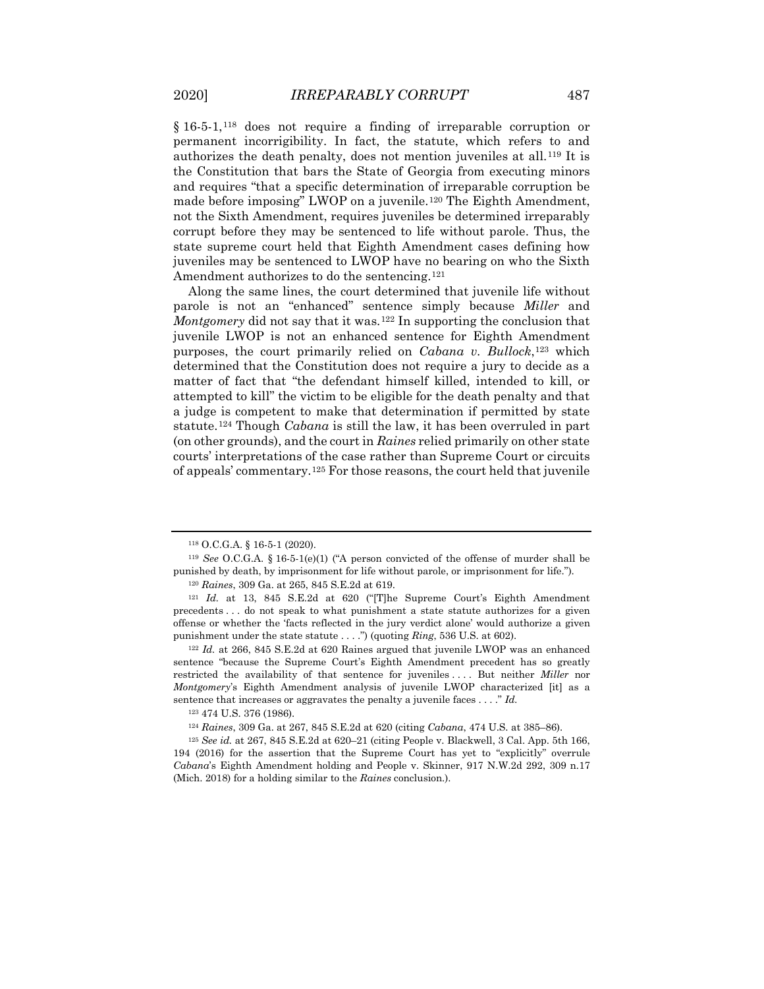§ 16-5-1,<sup>[118](#page-17-0)</sup> does not require a finding of irreparable corruption or permanent incorrigibility. In fact, the statute, which refers to and authorizes the death penalty, does not mention juveniles at all.[119](#page-17-1) It is the Constitution that bars the State of Georgia from executing minors and requires "that a specific determination of irreparable corruption be made before imposing" LWOP on a juvenile.<sup>[120](#page-17-2)</sup> The Eighth Amendment, not the Sixth Amendment, requires juveniles be determined irreparably corrupt before they may be sentenced to life without parole. Thus, the state supreme court held that Eighth Amendment cases defining how juveniles may be sentenced to LWOP have no bearing on who the Sixth Amendment authorizes to do the sentencing.<sup>[121](#page-17-3)</sup>

Along the same lines, the court determined that juvenile life without parole is not an "enhanced" sentence simply because *Miller* and *Montgomery* did not say that it was.<sup>[122](#page-17-4)</sup> In supporting the conclusion that juvenile LWOP is not an enhanced sentence for Eighth Amendment purposes, the court primarily relied on *Cabana v. Bullock*,<sup>[123](#page-17-5)</sup> which determined that the Constitution does not require a jury to decide as a matter of fact that "the defendant himself killed, intended to kill, or attempted to kill" the victim to be eligible for the death penalty and that a judge is competent to make that determination if permitted by state statute.[124](#page-17-6) Though *Cabana* is still the law, it has been overruled in part (on other grounds), and the court in *Raines* relied primarily on other state courts' interpretations of the case rather than Supreme Court or circuits of appeals' commentary.[125](#page-17-7) For those reasons, the court held that juvenile

<sup>118</sup> O.C.G.A. § 16-5-1 (2020).

<span id="page-17-1"></span><span id="page-17-0"></span><sup>119</sup> *See* O.C.G.A. § 16-5-1(e)(1) ("A person convicted of the offense of murder shall be punished by death, by imprisonment for life without parole, or imprisonment for life.").

<sup>120</sup> *Raines*, 309 Ga. at 265, 845 S.E.2d at 619.

<span id="page-17-3"></span><span id="page-17-2"></span><sup>121</sup> *Id.* at 13, 845 S.E.2d at 620 ("[T]he Supreme Court's Eighth Amendment precedents . . . do not speak to what punishment a state statute authorizes for a given offense or whether the 'facts reflected in the jury verdict alone' would authorize a given punishment under the state statute . . . .") (quoting *Ring*, 536 U.S. at 602).

<span id="page-17-4"></span><sup>122</sup> *Id.* at 266, 845 S.E.2d at 620 Raines argued that juvenile LWOP was an enhanced sentence "because the Supreme Court's Eighth Amendment precedent has so greatly restricted the availability of that sentence for juveniles . . . . But neither *Miller* nor *Montgomery*'s Eighth Amendment analysis of juvenile LWOP characterized [it] as a sentence that increases or aggravates the penalty a juvenile faces . . . ." *Id.*

<sup>123</sup> 474 U.S. 376 (1986).

<sup>124</sup> *Raines*, 309 Ga. at 267, 845 S.E.2d at 620 (citing *Cabana*, 474 U.S. at 385–86).

<span id="page-17-7"></span><span id="page-17-6"></span><span id="page-17-5"></span><sup>125</sup> *See id.* at 267, 845 S.E.2d at 620–21 (citing People v. Blackwell, 3 Cal. App. 5th 166, 194 (2016) for the assertion that the Supreme Court has yet to "explicitly" overrule *Cabana*'s Eighth Amendment holding and People v. Skinner, 917 N.W.2d 292, 309 n.17 (Mich. 2018) for a holding similar to the *Raines* conclusion.).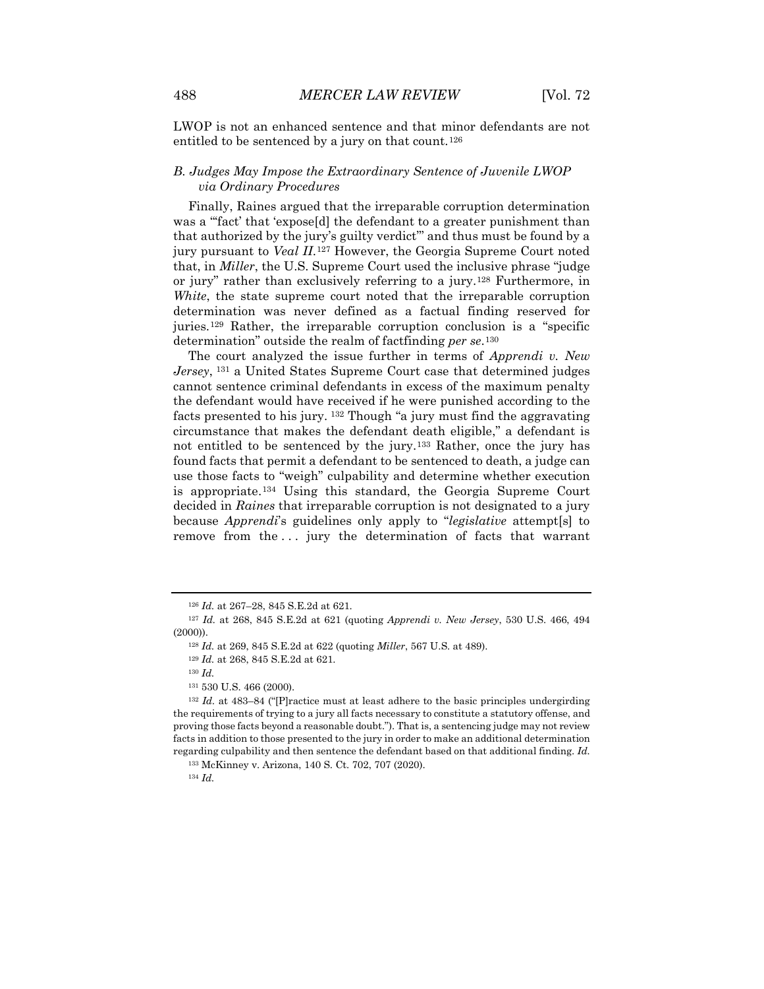LWOP is not an enhanced sentence and that minor defendants are not entitled to be sentenced by a jury on that count.<sup>[126](#page-18-0)</sup>

# *B. Judges May Impose the Extraordinary Sentence of Juvenile LWOP via Ordinary Procedures*

Finally, Raines argued that the irreparable corruption determination was a "'fact' that 'expose[d] the defendant to a greater punishment than that authorized by the jury's guilty verdict'" and thus must be found by a jury pursuant to *Veal II*.[127](#page-18-1) However, the Georgia Supreme Court noted that, in *Miller*, the U.S. Supreme Court used the inclusive phrase "judge or jury" rather than exclusively referring to a jury.[128](#page-18-2) Furthermore, in *White*, the state supreme court noted that the irreparable corruption determination was never defined as a factual finding reserved for juries[.129](#page-18-3) Rather, the irreparable corruption conclusion is a "specific determination" outside the realm of factfinding *per se*.[130](#page-18-4)

The court analyzed the issue further in terms of *Apprendi v. New Jersey*, [131](#page-18-5) a United States Supreme Court case that determined judges cannot sentence criminal defendants in excess of the maximum penalty the defendant would have received if he were punished according to the facts presented to his jury. [132](#page-18-6) Though "a jury must find the aggravating circumstance that makes the defendant death eligible," a defendant is not entitled to be sentenced by the jury.[133](#page-18-7) Rather, once the jury has found facts that permit a defendant to be sentenced to death, a judge can use those facts to "weigh" culpability and determine whether execution is appropriate.[134](#page-18-8) Using this standard, the Georgia Supreme Court decided in *Raines* that irreparable corruption is not designated to a jury because *Apprendi*'s guidelines only apply to "*legislative* attempt[s] to remove from the ... jury the determination of facts that warrant

<sup>126</sup> *Id.* at 267–28, 845 S.E.2d at 621.

<span id="page-18-2"></span><span id="page-18-1"></span><span id="page-18-0"></span><sup>127</sup> *Id.* at 268, 845 S.E.2d at 621 (quoting *Apprendi v. New Jersey*, 530 U.S. 466, 494 (2000)).

<sup>128</sup> *Id.* at 269, 845 S.E.2d at 622 (quoting *Miller*, 567 U.S. at 489).

<sup>129</sup> *Id.* at 268, 845 S.E.2d at 621.

<sup>130</sup> *Id.*

<sup>131</sup> 530 U.S. 466 (2000).

<span id="page-18-7"></span><span id="page-18-6"></span><span id="page-18-5"></span><span id="page-18-4"></span><span id="page-18-3"></span><sup>132</sup> *Id.* at 483–84 ("[P]ractice must at least adhere to the basic principles undergirding the requirements of trying to a jury all facts necessary to constitute a statutory offense, and proving those facts beyond a reasonable doubt."). That is, a sentencing judge may not review facts in addition to those presented to the jury in order to make an additional determination regarding culpability and then sentence the defendant based on that additional finding. *Id.*

<sup>133</sup> McKinney v. Arizona, 140 S. Ct. 702, 707 (2020).

<span id="page-18-8"></span><sup>134</sup> *Id.*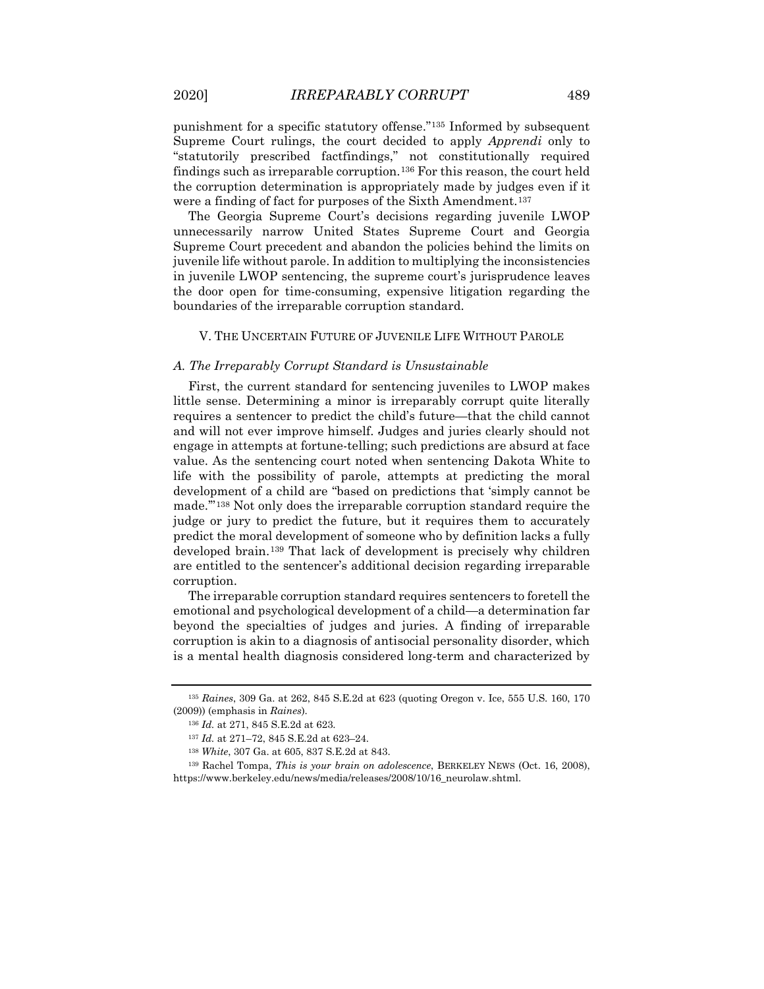punishment for a specific statutory offense."[135](#page-19-0) Informed by subsequent Supreme Court rulings, the court decided to apply *Apprendi* only to "statutorily prescribed factfindings," not constitutionally required findings such as irreparable corruption.<sup>[136](#page-19-1)</sup> For this reason, the court held the corruption determination is appropriately made by judges even if it were a finding of fact for purposes of the Sixth Amendment.<sup>[137](#page-19-2)</sup>

The Georgia Supreme Court's decisions regarding juvenile LWOP unnecessarily narrow United States Supreme Court and Georgia Supreme Court precedent and abandon the policies behind the limits on juvenile life without parole. In addition to multiplying the inconsistencies in juvenile LWOP sentencing, the supreme court's jurisprudence leaves the door open for time-consuming, expensive litigation regarding the boundaries of the irreparable corruption standard.

#### V. THE UNCERTAIN FUTURE OF JUVENILE LIFE WITHOUT PAROLE

### *A. The Irreparably Corrupt Standard is Unsustainable*

First, the current standard for sentencing juveniles to LWOP makes little sense. Determining a minor is irreparably corrupt quite literally requires a sentencer to predict the child's future—that the child cannot and will not ever improve himself. Judges and juries clearly should not engage in attempts at fortune-telling; such predictions are absurd at face value. As the sentencing court noted when sentencing Dakota White to life with the possibility of parole, attempts at predicting the moral development of a child are "based on predictions that 'simply cannot be made.'"[138](#page-19-3) Not only does the irreparable corruption standard require the judge or jury to predict the future, but it requires them to accurately predict the moral development of someone who by definition lacks a fully developed brain.[139](#page-19-4) That lack of development is precisely why children are entitled to the sentencer's additional decision regarding irreparable corruption.

The irreparable corruption standard requires sentencers to foretell the emotional and psychological development of a child—a determination far beyond the specialties of judges and juries. A finding of irreparable corruption is akin to a diagnosis of antisocial personality disorder, which is a mental health diagnosis considered long-term and characterized by

<span id="page-19-1"></span><span id="page-19-0"></span><sup>135</sup> *Raines*, 309 Ga. at 262, 845 S.E.2d at 623 (quoting Oregon v. Ice, 555 U.S. 160, 170 (2009)) (emphasis in *Raines*).

<sup>136</sup> *Id.* at 271, 845 S.E.2d at 623.

<sup>137</sup> *Id.* at 271–72, 845 S.E.2d at 623–24.

<sup>138</sup> *White*, 307 Ga. at 605, 837 S.E.2d at 843.

<span id="page-19-4"></span><span id="page-19-3"></span><span id="page-19-2"></span><sup>139</sup> Rachel Tompa, *This is your brain on adolescence*, BERKELEY NEWS (Oct. 16, 2008), https://www.berkeley.edu/news/media/releases/2008/10/16\_neurolaw.shtml.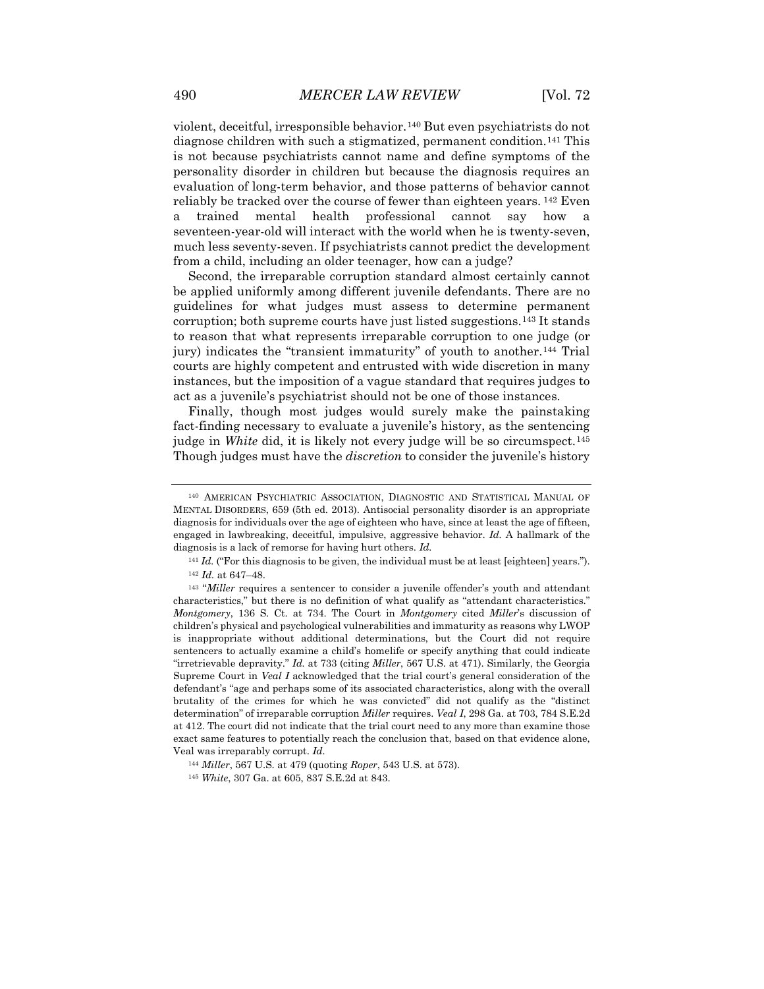violent, deceitful, irresponsible behavior.[140](#page-20-0) But even psychiatrists do not diagnose children with such a stigmatized, permanent condition.[141](#page-20-1) This is not because psychiatrists cannot name and define symptoms of the personality disorder in children but because the diagnosis requires an evaluation of long-term behavior, and those patterns of behavior cannot reliably be tracked over the course of fewer than eighteen years. [142](#page-20-2) Even a trained mental health professional cannot say how a seventeen-year-old will interact with the world when he is twenty-seven, much less seventy-seven. If psychiatrists cannot predict the development from a child, including an older teenager, how can a judge?

Second, the irreparable corruption standard almost certainly cannot be applied uniformly among different juvenile defendants. There are no guidelines for what judges must assess to determine permanent corruption; both supreme courts have just listed suggestions.[143](#page-20-3) It stands to reason that what represents irreparable corruption to one judge (or jury) indicates the "transient immaturity" of youth to another.[144](#page-20-4) Trial courts are highly competent and entrusted with wide discretion in many instances, but the imposition of a vague standard that requires judges to act as a juvenile's psychiatrist should not be one of those instances.

Finally, though most judges would surely make the painstaking fact-finding necessary to evaluate a juvenile's history, as the sentencing judge in *White* did, it is likely not every judge will be so circumspect.[145](#page-20-5) Though judges must have the *discretion* to consider the juvenile's history

<span id="page-20-0"></span><sup>140</sup> AMERICAN PSYCHIATRIC ASSOCIATION, DIAGNOSTIC AND STATISTICAL MANUAL OF MENTAL DISORDERS, 659 (5th ed. 2013). Antisocial personality disorder is an appropriate diagnosis for individuals over the age of eighteen who have, since at least the age of fifteen, engaged in lawbreaking, deceitful, impulsive, aggressive behavior. *Id.* A hallmark of the diagnosis is a lack of remorse for having hurt others. *Id.*

<sup>&</sup>lt;sup>141</sup> *Id.* ("For this diagnosis to be given, the individual must be at least [eighteen] years."). <sup>142</sup> *Id.* at 647–48.

<span id="page-20-3"></span><span id="page-20-2"></span><span id="page-20-1"></span><sup>143</sup> "*Miller* requires a sentencer to consider a juvenile offender's youth and attendant characteristics," but there is no definition of what qualify as "attendant characteristics." *Montgomery*, 136 S. Ct. at 734. The Court in *Montgomery* cited *Miller*'s discussion of children's physical and psychological vulnerabilities and immaturity as reasons why LWOP is inappropriate without additional determinations, but the Court did not require sentencers to actually examine a child's homelife or specify anything that could indicate "irretrievable depravity." *Id.* at 733 (citing *Miller*, 567 U.S. at 471). Similarly, the Georgia Supreme Court in *Veal I* acknowledged that the trial court's general consideration of the defendant's "age and perhaps some of its associated characteristics, along with the overall brutality of the crimes for which he was convicted" did not qualify as the "distinct determination" of irreparable corruption *Miller* requires. *Veal I*, 298 Ga. at 703, 784 S.E.2d at 412. The court did not indicate that the trial court need to any more than examine those exact same features to potentially reach the conclusion that, based on that evidence alone, Veal was irreparably corrupt. *Id.*

<span id="page-20-5"></span><span id="page-20-4"></span><sup>144</sup> *Miller*, 567 U.S. at 479 (quoting *Roper*, 543 U.S. at 573).

<sup>145</sup> *White*, 307 Ga. at 605, 837 S.E.2d at 843.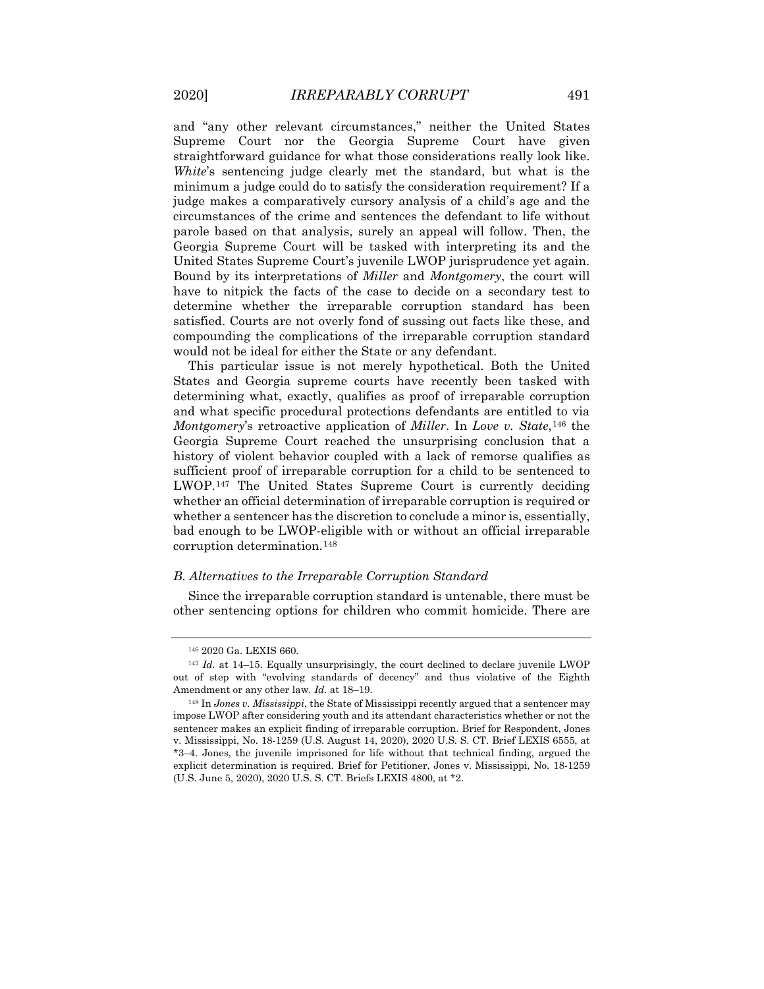and "any other relevant circumstances," neither the United States Supreme Court nor the Georgia Supreme Court have given straightforward guidance for what those considerations really look like. *White*'s sentencing judge clearly met the standard, but what is the minimum a judge could do to satisfy the consideration requirement? If a judge makes a comparatively cursory analysis of a child's age and the circumstances of the crime and sentences the defendant to life without parole based on that analysis, surely an appeal will follow. Then, the Georgia Supreme Court will be tasked with interpreting its and the United States Supreme Court's juvenile LWOP jurisprudence yet again. Bound by its interpretations of *Miller* and *Montgomery*, the court will have to nitpick the facts of the case to decide on a secondary test to determine whether the irreparable corruption standard has been satisfied. Courts are not overly fond of sussing out facts like these, and compounding the complications of the irreparable corruption standard would not be ideal for either the State or any defendant.

This particular issue is not merely hypothetical. Both the United States and Georgia supreme courts have recently been tasked with determining what, exactly, qualifies as proof of irreparable corruption and what specific procedural protections defendants are entitled to via *Montgomery*'s retroactive application of *Miller*. In *Love v. State*,[146](#page-21-0) the Georgia Supreme Court reached the unsurprising conclusion that a history of violent behavior coupled with a lack of remorse qualifies as sufficient proof of irreparable corruption for a child to be sentenced to LWOP.[147](#page-21-1) The United States Supreme Court is currently deciding whether an official determination of irreparable corruption is required or whether a sentencer has the discretion to conclude a minor is, essentially, bad enough to be LWOP-eligible with or without an official irreparable corruption determination.[148](#page-21-2)

#### *B. Alternatives to the Irreparable Corruption Standard*

Since the irreparable corruption standard is untenable, there must be other sentencing options for children who commit homicide. There are

<sup>146</sup> 2020 Ga. LEXIS 660.

<span id="page-21-1"></span><span id="page-21-0"></span><sup>&</sup>lt;sup>147</sup> *Id.* at 14–15. Equally unsurprisingly, the court declined to declare juvenile LWOP out of step with "evolving standards of decency" and thus violative of the Eighth Amendment or any other law. *Id.* at 18–19.

<span id="page-21-2"></span><sup>148</sup> In *Jones v. Mississippi*, the State of Mississippi recently argued that a sentencer may impose LWOP after considering youth and its attendant characteristics whether or not the sentencer makes an explicit finding of irreparable corruption. Brief for Respondent, Jones v. Mississippi, No. 18-1259 (U.S. August 14, 2020), 2020 U.S. S. CT. Brief LEXIS 6555, at \*3–4. Jones, the juvenile imprisoned for life without that technical finding, argued the explicit determination is required. Brief for Petitioner, Jones v. Mississippi, No. 18-1259 (U.S. June 5, 2020), 2020 U.S. S. CT. Briefs LEXIS 4800, at \*2.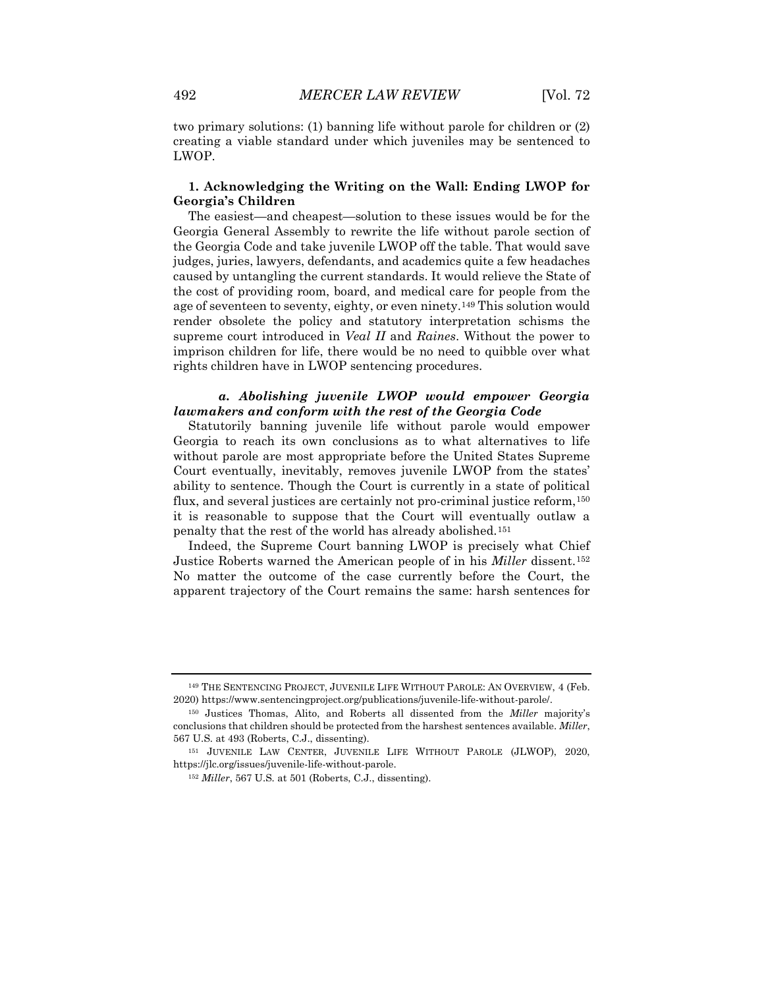two primary solutions: (1) banning life without parole for children or (2) creating a viable standard under which juveniles may be sentenced to LWOP.

# **1. Acknowledging the Writing on the Wall: Ending LWOP for Georgia's Children**

The easiest—and cheapest—solution to these issues would be for the Georgia General Assembly to rewrite the life without parole section of the Georgia Code and take juvenile LWOP off the table. That would save judges, juries, lawyers, defendants, and academics quite a few headaches caused by untangling the current standards. It would relieve the State of the cost of providing room, board, and medical care for people from the age of seventeen to seventy, eighty, or even ninety.[149](#page-22-0) This solution would render obsolete the policy and statutory interpretation schisms the supreme court introduced in *Veal II* and *Raines*. Without the power to imprison children for life, there would be no need to quibble over what rights children have in LWOP sentencing procedures.

# *a. Abolishing juvenile LWOP would empower Georgia lawmakers and conform with the rest of the Georgia Code*

Statutorily banning juvenile life without parole would empower Georgia to reach its own conclusions as to what alternatives to life without parole are most appropriate before the United States Supreme Court eventually, inevitably, removes juvenile LWOP from the states' ability to sentence. Though the Court is currently in a state of political flux, and several justices are certainly not pro-criminal justice reform,<sup>[150](#page-22-1)</sup> it is reasonable to suppose that the Court will eventually outlaw a penalty that the rest of the world has already abolished.[151](#page-22-2)

Indeed, the Supreme Court banning LWOP is precisely what Chief Justice Roberts warned the American people of in his *Miller* dissent.[152](#page-22-3) No matter the outcome of the case currently before the Court, the apparent trajectory of the Court remains the same: harsh sentences for

<span id="page-22-0"></span><sup>149</sup> THE SENTENCING PROJECT, JUVENILE LIFE WITHOUT PAROLE: AN OVERVIEW, 4 (Feb. 2020) https://www.sentencingproject.org/publications/juvenile-life-without-parole/.

<span id="page-22-1"></span><sup>150</sup> Justices Thomas, Alito, and Roberts all dissented from the *Miller* majority's conclusions that children should be protected from the harshest sentences available. *Miller*, 567 U.S. at 493 (Roberts, C.J., dissenting).

<span id="page-22-3"></span><span id="page-22-2"></span><sup>151</sup> JUVENILE LAW CENTER, JUVENILE LIFE WITHOUT PAROLE (JLWOP), 2020, https://jlc.org/issues/juvenile-life-without-parole.

<sup>152</sup> *Miller*, 567 U.S. at 501 (Roberts, C.J., dissenting).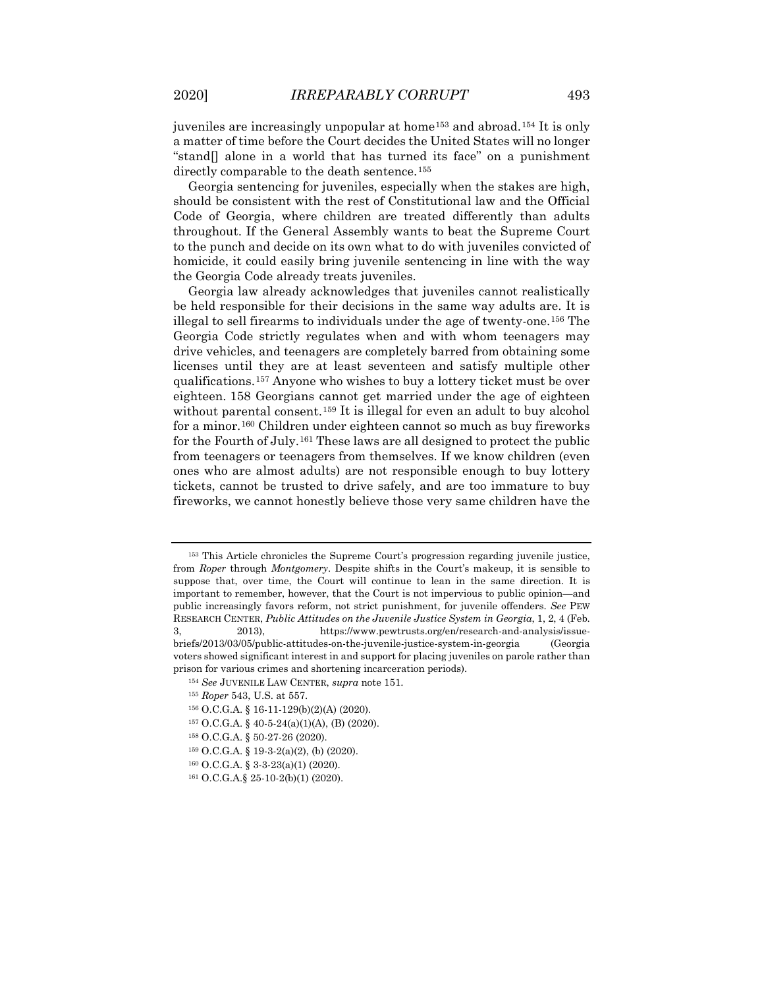juveniles are increasingly unpopular at home<sup>[153](#page-23-0)</sup> and abroad.<sup>[154](#page-23-1)</sup> It is only a matter of time before the Court decides the United States will no longer "stand[] alone in a world that has turned its face" on a punishment directly comparable to the death sentence.<sup>[155](#page-23-2)</sup>

Georgia sentencing for juveniles, especially when the stakes are high, should be consistent with the rest of Constitutional law and the Official Code of Georgia, where children are treated differently than adults throughout. If the General Assembly wants to beat the Supreme Court to the punch and decide on its own what to do with juveniles convicted of homicide, it could easily bring juvenile sentencing in line with the way the Georgia Code already treats juveniles.

Georgia law already acknowledges that juveniles cannot realistically be held responsible for their decisions in the same way adults are. It is illegal to sell firearms to individuals under the age of twenty-one.[156](#page-23-3) The Georgia Code strictly regulates when and with whom teenagers may drive vehicles, and teenagers are completely barred from obtaining some licenses until they are at least seventeen and satisfy multiple other qualifications.[157](#page-23-4) Anyone who wishes to buy a lottery ticket must be over eighteen. [158](#page-23-5) Georgians cannot get married under the age of eighteen without parental consent.<sup>[159](#page-23-6)</sup> It is illegal for even an adult to buy alcohol for a minor.[160](#page-23-7) Children under eighteen cannot so much as buy fireworks for the Fourth of July.[161](#page-23-8) These laws are all designed to protect the public from teenagers or teenagers from themselves. If we know children (even ones who are almost adults) are not responsible enough to buy lottery tickets, cannot be trusted to drive safely, and are too immature to buy fireworks, we cannot honestly believe those very same children have the

- <sup>158</sup> O.C.G.A. § 50-27-26 (2020).
- <span id="page-23-6"></span> $159$  O.C.G.A. § 19-3-2(a)(2), (b) (2020).
- <span id="page-23-7"></span><sup>160</sup> O.C.G.A. § 3-3-23(a)(1) (2020).

<span id="page-23-0"></span><sup>153</sup> This Article chronicles the Supreme Court's progression regarding juvenile justice, from *Roper* through *Montgomery*. Despite shifts in the Court's makeup, it is sensible to suppose that, over time, the Court will continue to lean in the same direction. It is important to remember, however, that the Court is not impervious to public opinion—and public increasingly favors reform, not strict punishment, for juvenile offenders. *See* PEW RESEARCH CENTER, *Public Attitudes on the Juvenile Justice System in Georgia*, 1, 2, 4 (Feb. 3, 2013), https://www.pewtrusts.org/en/research-and-analysis/issuebriefs/2013/03/05/public-attitudes-on-the-juvenile-justice-system-in-georgia (Georgia voters showed significant interest in and support for placing juveniles on parole rather than

<span id="page-23-5"></span><span id="page-23-4"></span><span id="page-23-3"></span><span id="page-23-2"></span><span id="page-23-1"></span>prison for various crimes and shortening incarceration periods).

<sup>154</sup> *See* JUVENILE LAW CENTER, *supra* note 151.

<sup>155</sup> *Roper* 543, U.S. at 557.

<sup>156</sup> O.C.G.A. § 16-11-129(b)(2)(A) (2020).

<sup>157</sup> O.C.G.A. § 40-5-24(a)(1)(A), (B) (2020).

<span id="page-23-8"></span><sup>161</sup> O.C.G.A.§ 25-10-2(b)(1) (2020).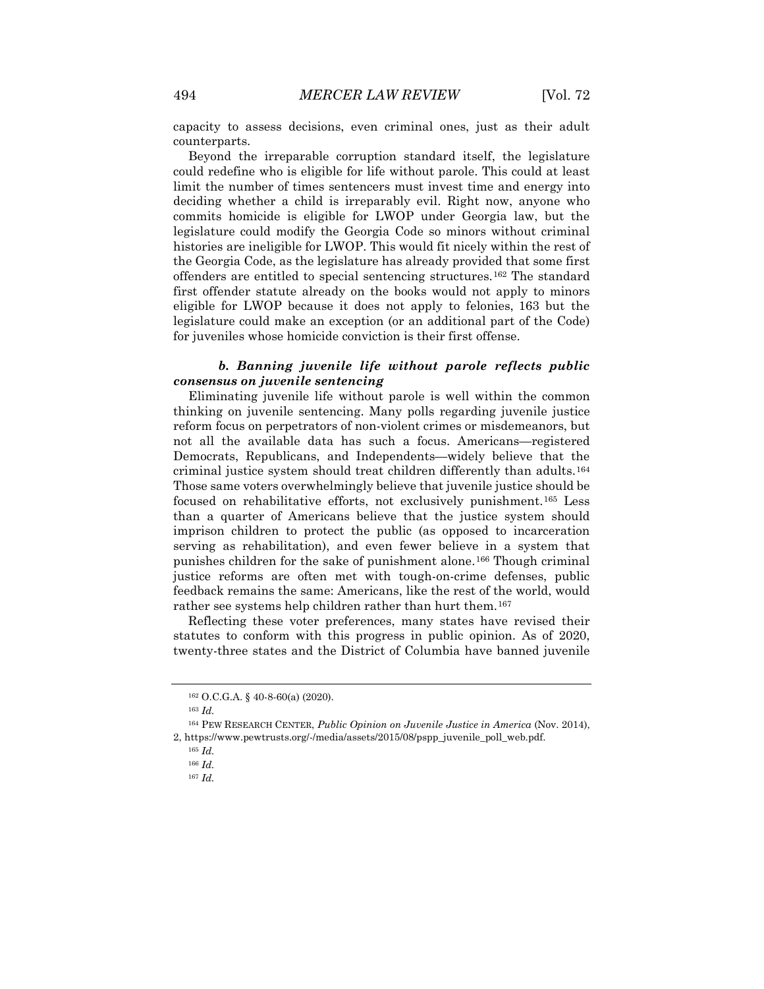capacity to assess decisions, even criminal ones, just as their adult counterparts.

Beyond the irreparable corruption standard itself, the legislature could redefine who is eligible for life without parole. This could at least limit the number of times sentencers must invest time and energy into deciding whether a child is irreparably evil. Right now, anyone who commits homicide is eligible for LWOP under Georgia law, but the legislature could modify the Georgia Code so minors without criminal histories are ineligible for LWOP. This would fit nicely within the rest of the Georgia Code, as the legislature has already provided that some first offenders are entitled to special sentencing structures.[162](#page-24-0) The standard first offender statute already on the books would not apply to minors eligible for LWOP because it does not apply to felonies, [163](#page-24-1) but the legislature could make an exception (or an additional part of the Code) for juveniles whose homicide conviction is their first offense.

# *b. Banning juvenile life without parole reflects public consensus on juvenile sentencing*

Eliminating juvenile life without parole is well within the common thinking on juvenile sentencing. Many polls regarding juvenile justice reform focus on perpetrators of non-violent crimes or misdemeanors, but not all the available data has such a focus. Americans—registered Democrats, Republicans, and Independents—widely believe that the criminal justice system should treat children differently than adults.[164](#page-24-2) Those same voters overwhelmingly believe that juvenile justice should be focused on rehabilitative efforts, not exclusively punishment.[165](#page-24-3) Less than a quarter of Americans believe that the justice system should imprison children to protect the public (as opposed to incarceration serving as rehabilitation), and even fewer believe in a system that punishes children for the sake of punishment alone.[166](#page-24-4) Though criminal justice reforms are often met with tough-on-crime defenses, public feedback remains the same: Americans, like the rest of the world, would rather see systems help children rather than hurt them.<sup>[167](#page-24-5)</sup>

Reflecting these voter preferences, many states have revised their statutes to conform with this progress in public opinion. As of 2020, twenty-three states and the District of Columbia have banned juvenile

<sup>162</sup> O.C.G.A. § 40-8-60(a) (2020).

<sup>163</sup> *Id.*

<span id="page-24-5"></span><span id="page-24-4"></span><span id="page-24-3"></span><span id="page-24-2"></span><span id="page-24-1"></span><span id="page-24-0"></span><sup>164</sup> PEW RESEARCH CENTER, *Public Opinion on Juvenile Justice in America* (Nov. 2014), 2, https://www.pewtrusts.org/-/media/assets/2015/08/pspp\_juvenile\_poll\_web.pdf.

<sup>165</sup> *Id.*

<sup>166</sup> *Id.*

<sup>167</sup> *Id.*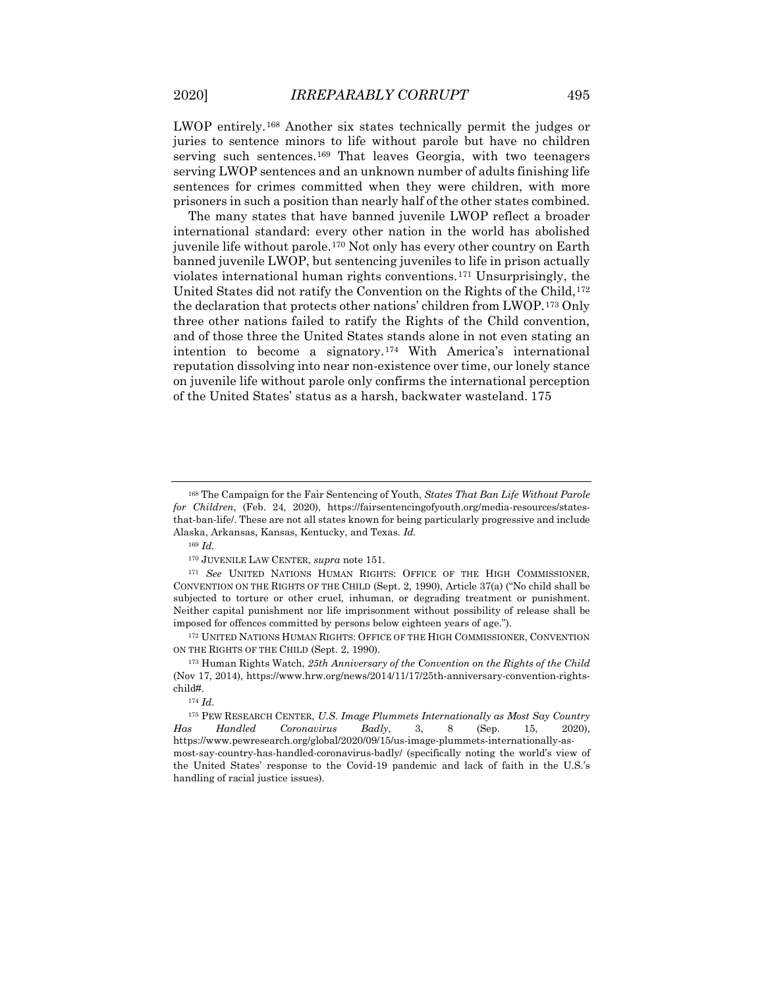LWOP entirely.[168](#page-25-0) Another six states technically permit the judges or juries to sentence minors to life without parole but have no children serving such sentences.<sup>[169](#page-25-1)</sup> That leaves Georgia, with two teenagers serving LWOP sentences and an unknown number of adults finishing life sentences for crimes committed when they were children, with more prisoners in such a position than nearly half of the other states combined.

The many states that have banned juvenile LWOP reflect a broader international standard: every other nation in the world has abolished juvenile life without parole.[170](#page-25-2) Not only has every other country on Earth banned juvenile LWOP, but sentencing juveniles to life in prison actually violates international human rights conventions.[171](#page-25-3) Unsurprisingly, the United States did not ratify the Convention on the Rights of the Child,<sup>[172](#page-25-4)</sup> the declaration that protects other nations' children from LWOP.[173](#page-25-5) Only three other nations failed to ratify the Rights of the Child convention, and of those three the United States stands alone in not even stating an intention to become a signatory.[174](#page-25-6) With America's international reputation dissolving into near non-existence over time, our lonely stance on juvenile life without parole only confirms the international perception of the United States' status as a harsh, backwater wasteland. [175](#page-25-7)

<span id="page-25-4"></span><sup>172</sup> UNITED NATIONS HUMAN RIGHTS: OFFICE OF THE HIGH COMMISSIONER, CONVENTION ON THE RIGHTS OF THE CHILD (Sept. 2, 1990).

<span id="page-25-0"></span><sup>168</sup> The Campaign for the Fair Sentencing of Youth, *States That Ban Life Without Parole for Children*, (Feb. 24, 2020), https://fairsentencingofyouth.org/media-resources/statesthat-ban-life/. These are not all states known for being particularly progressive and include Alaska, Arkansas, Kansas, Kentucky, and Texas. *Id.*

<sup>169</sup> *Id.*

<sup>170</sup> JUVENILE LAW CENTER, *supra* note 151.

<span id="page-25-3"></span><span id="page-25-2"></span><span id="page-25-1"></span><sup>171</sup> *See* UNITED NATIONS HUMAN RIGHTS: OFFICE OF THE HIGH COMMISSIONER, CONVENTION ON THE RIGHTS OF THE CHILD (Sept. 2, 1990), Article 37(a) ("No child shall be subjected to torture or other cruel, inhuman, or degrading treatment or punishment. Neither capital punishment nor life imprisonment without possibility of release shall be imposed for offences committed by persons below eighteen years of age.").

<span id="page-25-5"></span><sup>173</sup> Human Rights Watch, *25th Anniversary of the Convention on the Rights of the Child* (Nov 17, 2014), https://www.hrw.org/news/2014/11/17/25th-anniversary-convention-rightschild#.

<sup>174</sup> *Id.*

<span id="page-25-7"></span><span id="page-25-6"></span><sup>175</sup> PEW RESEARCH CENTER, *U.S. Image Plummets Internationally as Most Say Country Has Handled Coronavirus Badly*, 3, 8 (Sep. 15, 2020), https://www.pewresearch.org/global/2020/09/15/us-image-plummets-internationally-asmost-say-country-has-handled-coronavirus-badly/ (specifically noting the world's view of the United States' response to the Covid-19 pandemic and lack of faith in the U.S.'s handling of racial justice issues).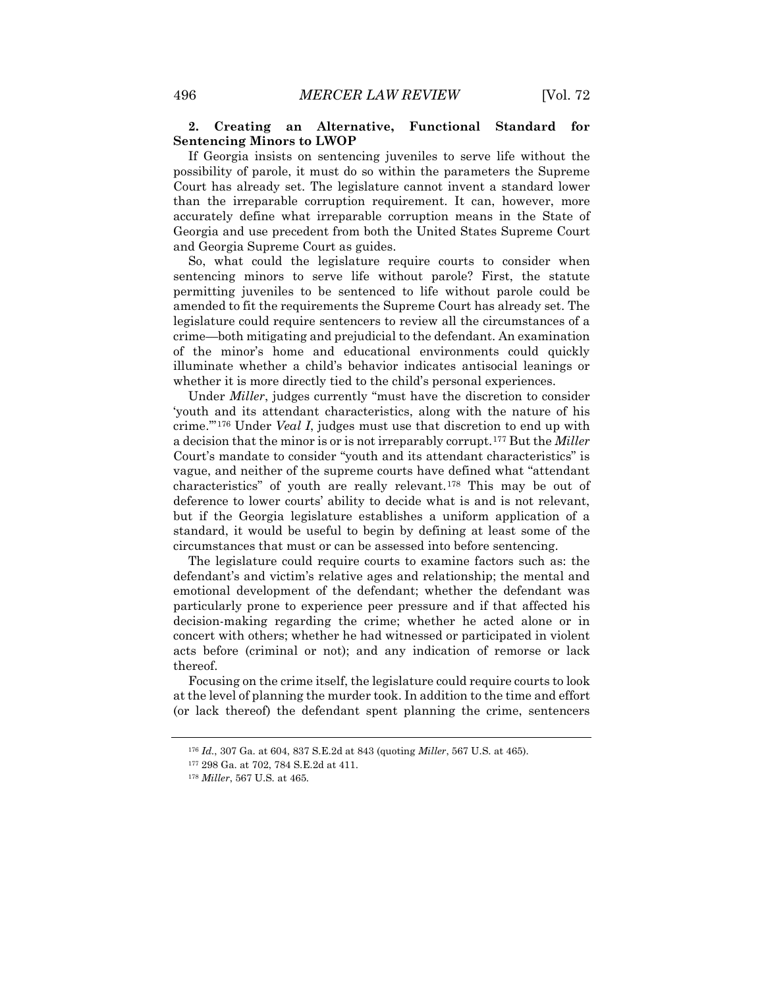# **2. Creating an Alternative, Functional Standard for Sentencing Minors to LWOP**

If Georgia insists on sentencing juveniles to serve life without the possibility of parole, it must do so within the parameters the Supreme Court has already set. The legislature cannot invent a standard lower than the irreparable corruption requirement. It can, however, more accurately define what irreparable corruption means in the State of Georgia and use precedent from both the United States Supreme Court and Georgia Supreme Court as guides.

So, what could the legislature require courts to consider when sentencing minors to serve life without parole? First, the statute permitting juveniles to be sentenced to life without parole could be amended to fit the requirements the Supreme Court has already set. The legislature could require sentencers to review all the circumstances of a crime—both mitigating and prejudicial to the defendant. An examination of the minor's home and educational environments could quickly illuminate whether a child's behavior indicates antisocial leanings or whether it is more directly tied to the child's personal experiences.

Under *Miller*, judges currently "must have the discretion to consider 'youth and its attendant characteristics, along with the nature of his crime.'"[176](#page-26-0) Under *Veal I*, judges must use that discretion to end up with a decision that the minor is or is not irreparably corrupt.[177](#page-26-1) But the *Miller* Court's mandate to consider "youth and its attendant characteristics" is vague, and neither of the supreme courts have defined what "attendant characteristics" of youth are really relevant.[178](#page-26-2) This may be out of deference to lower courts' ability to decide what is and is not relevant, but if the Georgia legislature establishes a uniform application of a standard, it would be useful to begin by defining at least some of the circumstances that must or can be assessed into before sentencing.

The legislature could require courts to examine factors such as: the defendant's and victim's relative ages and relationship; the mental and emotional development of the defendant; whether the defendant was particularly prone to experience peer pressure and if that affected his decision-making regarding the crime; whether he acted alone or in concert with others; whether he had witnessed or participated in violent acts before (criminal or not); and any indication of remorse or lack thereof.

<span id="page-26-0"></span>Focusing on the crime itself, the legislature could require courts to look at the level of planning the murder took. In addition to the time and effort (or lack thereof) the defendant spent planning the crime, sentencers

<sup>176</sup> *Id.*, 307 Ga. at 604, 837 S.E.2d at 843 (quoting *Miller*, 567 U.S. at 465).

<sup>177</sup> 298 Ga. at 702, 784 S.E.2d at 411.

<span id="page-26-2"></span><span id="page-26-1"></span><sup>178</sup> *Miller*, 567 U.S. at 465.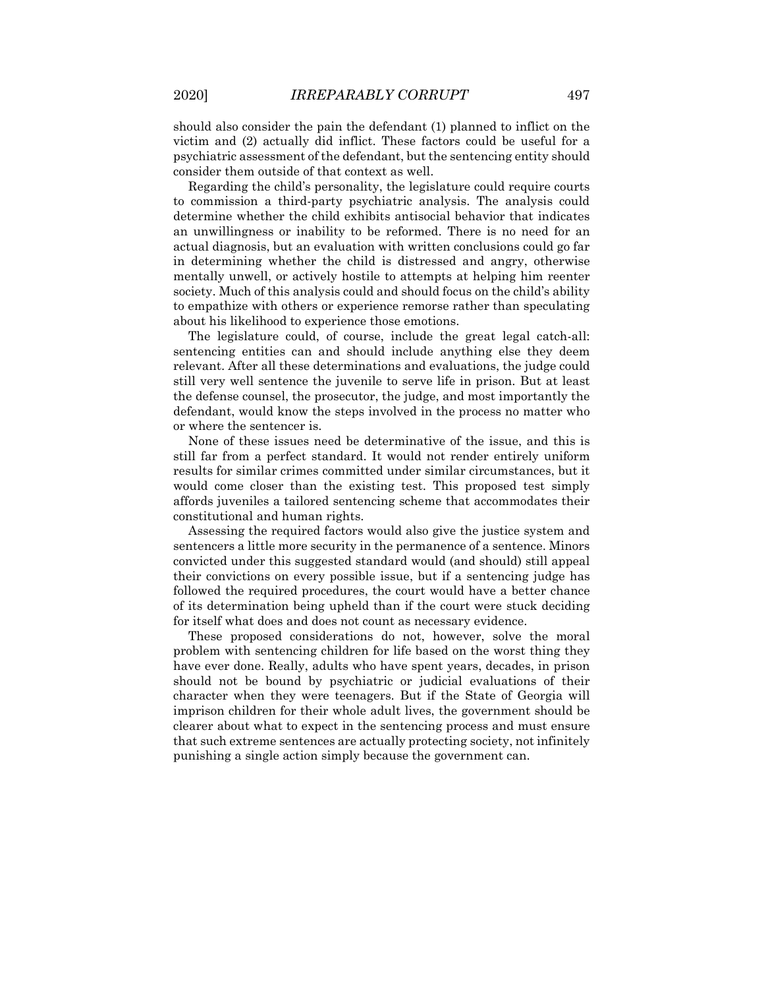should also consider the pain the defendant (1) planned to inflict on the victim and (2) actually did inflict. These factors could be useful for a psychiatric assessment of the defendant, but the sentencing entity should consider them outside of that context as well.

Regarding the child's personality, the legislature could require courts to commission a third-party psychiatric analysis. The analysis could determine whether the child exhibits antisocial behavior that indicates an unwillingness or inability to be reformed. There is no need for an actual diagnosis, but an evaluation with written conclusions could go far in determining whether the child is distressed and angry, otherwise mentally unwell, or actively hostile to attempts at helping him reenter society. Much of this analysis could and should focus on the child's ability to empathize with others or experience remorse rather than speculating about his likelihood to experience those emotions.

The legislature could, of course, include the great legal catch-all: sentencing entities can and should include anything else they deem relevant. After all these determinations and evaluations, the judge could still very well sentence the juvenile to serve life in prison. But at least the defense counsel, the prosecutor, the judge, and most importantly the defendant, would know the steps involved in the process no matter who or where the sentencer is.

None of these issues need be determinative of the issue, and this is still far from a perfect standard. It would not render entirely uniform results for similar crimes committed under similar circumstances, but it would come closer than the existing test. This proposed test simply affords juveniles a tailored sentencing scheme that accommodates their constitutional and human rights.

Assessing the required factors would also give the justice system and sentencers a little more security in the permanence of a sentence. Minors convicted under this suggested standard would (and should) still appeal their convictions on every possible issue, but if a sentencing judge has followed the required procedures, the court would have a better chance of its determination being upheld than if the court were stuck deciding for itself what does and does not count as necessary evidence.

These proposed considerations do not, however, solve the moral problem with sentencing children for life based on the worst thing they have ever done. Really, adults who have spent years, decades, in prison should not be bound by psychiatric or judicial evaluations of their character when they were teenagers. But if the State of Georgia will imprison children for their whole adult lives, the government should be clearer about what to expect in the sentencing process and must ensure that such extreme sentences are actually protecting society, not infinitely punishing a single action simply because the government can.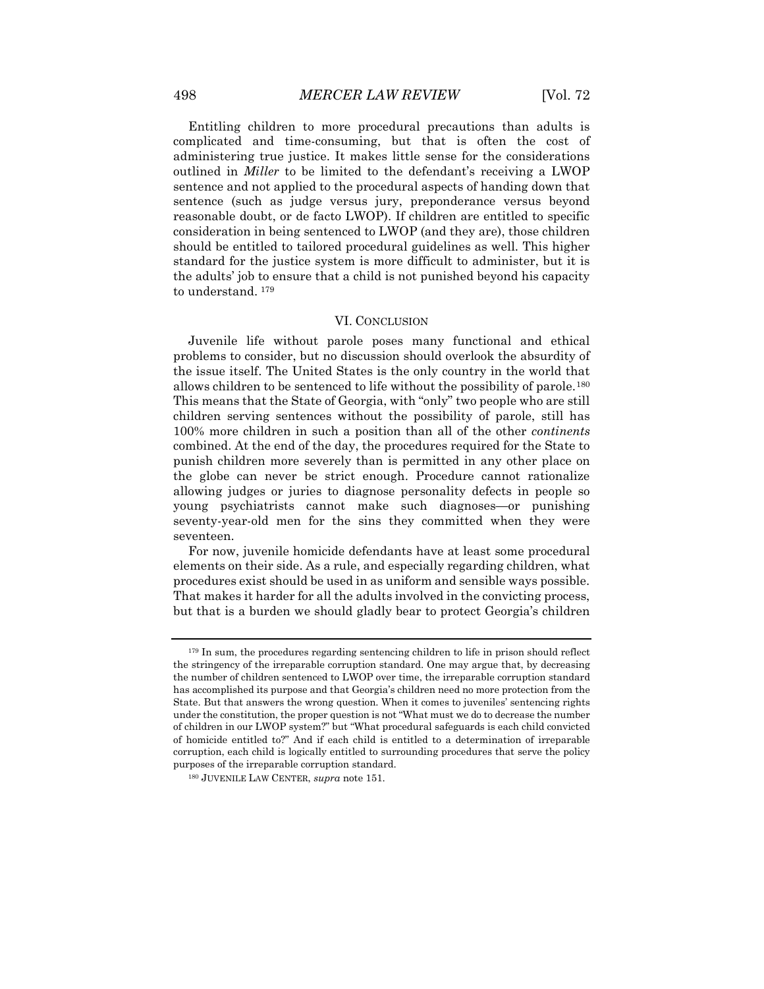Entitling children to more procedural precautions than adults is complicated and time-consuming, but that is often the cost of administering true justice. It makes little sense for the considerations outlined in *Miller* to be limited to the defendant's receiving a LWOP sentence and not applied to the procedural aspects of handing down that sentence (such as judge versus jury, preponderance versus beyond reasonable doubt, or de facto LWOP). If children are entitled to specific consideration in being sentenced to LWOP (and they are), those children should be entitled to tailored procedural guidelines as well. This higher standard for the justice system is more difficult to administer, but it is the adults' job to ensure that a child is not punished beyond his capacity to understand. [179](#page-28-0)

#### VI. CONCLUSION

Juvenile life without parole poses many functional and ethical problems to consider, but no discussion should overlook the absurdity of the issue itself. The United States is the only country in the world that allows children to be sentenced to life without the possibility of parole.[180](#page-28-1) This means that the State of Georgia, with "only" two people who are still children serving sentences without the possibility of parole, still has 100% more children in such a position than all of the other *continents*  combined. At the end of the day, the procedures required for the State to punish children more severely than is permitted in any other place on the globe can never be strict enough. Procedure cannot rationalize allowing judges or juries to diagnose personality defects in people so young psychiatrists cannot make such diagnoses—or punishing seventy-year-old men for the sins they committed when they were seventeen.

For now, juvenile homicide defendants have at least some procedural elements on their side. As a rule, and especially regarding children, what procedures exist should be used in as uniform and sensible ways possible. That makes it harder for all the adults involved in the convicting process, but that is a burden we should gladly bear to protect Georgia's children

<span id="page-28-0"></span><sup>179</sup> In sum, the procedures regarding sentencing children to life in prison should reflect the stringency of the irreparable corruption standard. One may argue that, by decreasing the number of children sentenced to LWOP over time, the irreparable corruption standard has accomplished its purpose and that Georgia's children need no more protection from the State. But that answers the wrong question. When it comes to juveniles' sentencing rights under the constitution, the proper question is not "What must we do to decrease the number of children in our LWOP system?" but "What procedural safeguards is each child convicted of homicide entitled to?" And if each child is entitled to a determination of irreparable corruption, each child is logically entitled to surrounding procedures that serve the policy purposes of the irreparable corruption standard.

<span id="page-28-1"></span><sup>180</sup> JUVENILE LAW CENTER, *supra* note 151.